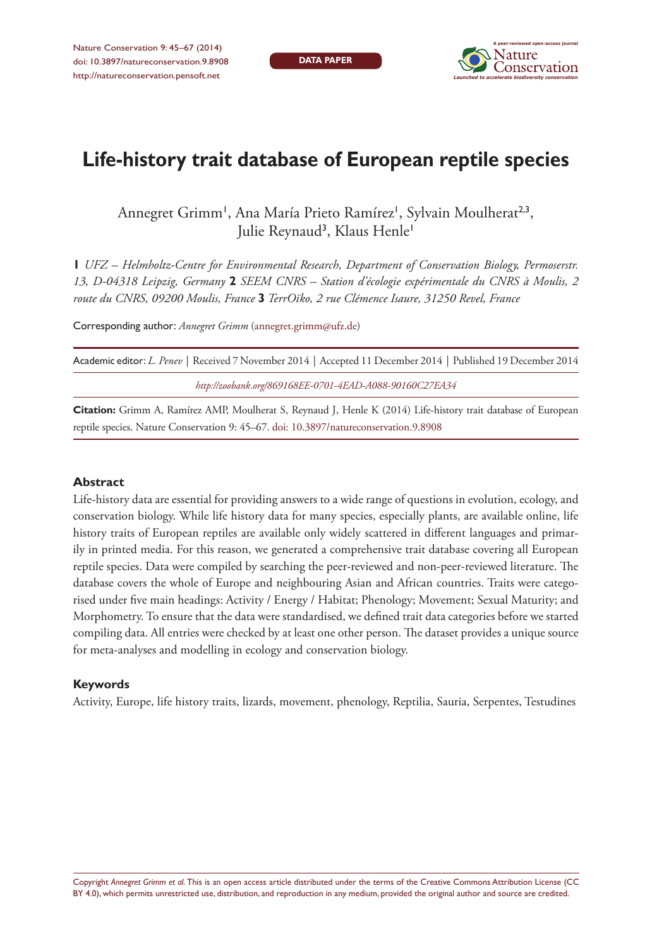**DATA PAPER**



# **Life-history trait database of European reptile species**

Annegret Grimm<sup>1</sup>, Ana María Prieto Ramírez<sup>1</sup>, Sylvain Moulherat<sup>2,3</sup>, Julie Reynaud<sup>3</sup>, Klaus Henle'

**1** *UFZ – Helmholtz-Centre for Environmental Research, Department of Conservation Biology, Permoserstr. 13, D-04318 Leipzig, Germany* **2** *SEEM CNRS – Station d'écologie expérimentale du CNRS à Moulis, 2 route du CNRS, 09200 Moulis, France* **3** *TerrOïko, 2 rue Clémence Isaure, 31250 Revel, France*

Corresponding author: *Annegret Grimm* ([annegret.grimm@ufz.de](mailto:annegret.grimm@ufz.de))

| Academic editor: L. Penev   Received 7 November 2014   Accepted 11 December 2014   Published 19 December 2014 |
|---------------------------------------------------------------------------------------------------------------|
| http://zoobank.org/869168EE-0701-4EAD-A088-90160C27EA34                                                       |
|                                                                                                               |

**Citation:** Grimm A, Ramírez AMP, Moulherat S, Reynaud J, Henle K (2014) Life-history trait database of European reptile species. Nature Conservation 9: 45–67. doi: 10.3897/natureconservation.9.8908

#### **Abstract**

Life-history data are essential for providing answers to a wide range of questions in evolution, ecology, and conservation biology. While life history data for many species, especially plants, are available online, life history traits of European reptiles are available only widely scattered in different languages and primarily in printed media. For this reason, we generated a comprehensive trait database covering all European reptile species. Data were compiled by searching the peer-reviewed and non-peer-reviewed literature. The database covers the whole of Europe and neighbouring Asian and African countries. Traits were categorised under five main headings: Activity / Energy / Habitat; Phenology; Movement; Sexual Maturity; and Morphometry. To ensure that the data were standardised, we defined trait data categories before we started compiling data. All entries were checked by at least one other person. The dataset provides a unique source for meta-analyses and modelling in ecology and conservation biology.

#### **Keywords**

Activity, Europe, life history traits, lizards, movement, phenology, Reptilia, Sauria, Serpentes, Testudines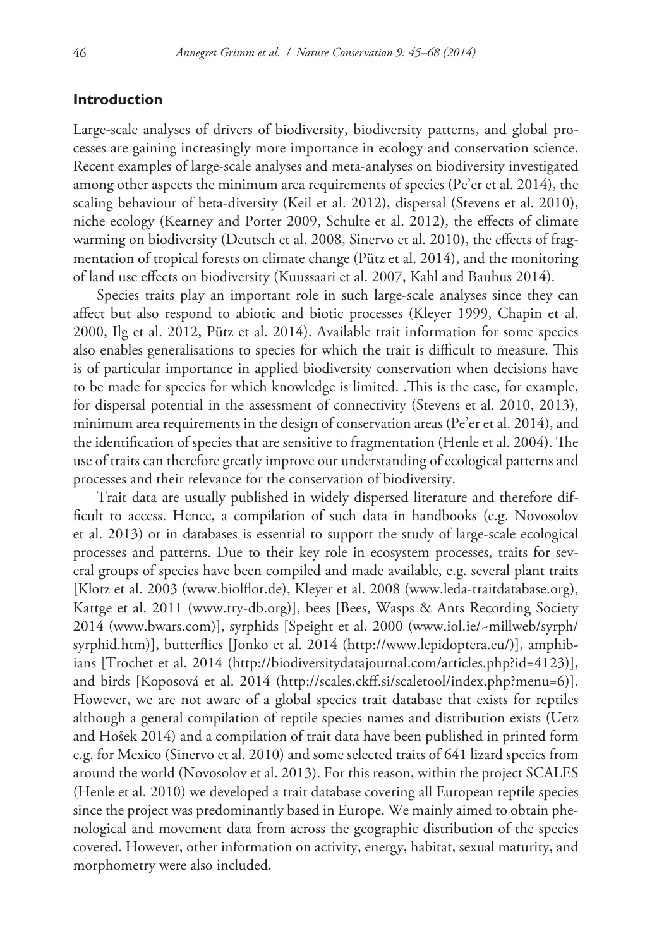## **Introduction**

Large-scale analyses of drivers of biodiversity, biodiversity patterns, and global processes are gaining increasingly more importance in ecology and conservation science. Recent examples of large-scale analyses and meta-analyses on biodiversity investigated among other aspects the minimum area requirements of species (Pe'er et al. 2014), the scaling behaviour of beta-diversity (Keil et al. 2012), dispersal (Stevens et al. 2010), niche ecology (Kearney and Porter 2009, Schulte et al. 2012), the effects of climate warming on biodiversity (Deutsch et al. 2008, Sinervo et al. 2010), the effects of fragmentation of tropical forests on climate change (Pütz et al. 2014), and the monitoring of land use effects on biodiversity (Kuussaari et al. 2007, Kahl and Bauhus 2014).

Species traits play an important role in such large-scale analyses since they can affect but also respond to abiotic and biotic processes (Kleyer 1999, Chapin et al. 2000, Ilg et al. 2012, Pütz et al. 2014). Available trait information for some species also enables generalisations to species for which the trait is difficult to measure. This is of particular importance in applied biodiversity conservation when decisions have to be made for species for which knowledge is limited. .This is the case, for example, for dispersal potential in the assessment of connectivity (Stevens et al. 2010, 2013), minimum area requirements in the design of conservation areas (Pe'er et al. 2014), and the identification of species that are sensitive to fragmentation (Henle et al. 2004). The use of traits can therefore greatly improve our understanding of ecological patterns and processes and their relevance for the conservation of biodiversity.

Trait data are usually published in widely dispersed literature and therefore difficult to access. Hence, a compilation of such data in handbooks (e.g. Novosolov et al. 2013) or in databases is essential to support the study of large-scale ecological processes and patterns. Due to their key role in ecosystem processes, traits for several groups of species have been compiled and made available, e.g. several plant traits [Klotz et al. 2003 ([www.biolflor.de](http://www.biolflor.de)), Kleyer et al. 2008 ([www.leda-traitdatabase.org](http://www.leda-traitdatabase.org)), Kattge et al. 2011 [\(www.try-db.org\)](http://www.try-db.org)], bees [Bees, Wasps & Ants Recording Society 2014 [\(www.bwars.com\)](http://www.bwars.com)], syrphids [Speight et al. 2000 [\(www.iol.ie/~millweb/syrph/](http://www.iol.ie/~millweb/syrph/syrphid.htm) [syrphid.htm\)](http://www.iol.ie/~millweb/syrph/syrphid.htm)], butterflies [Jonko et al. 2014 [\(http://www.lepidoptera.eu/\)](http://www.lepidoptera.eu/)], amphibians [Trochet et al. 2014 (<http://biodiversitydatajournal.com/articles.php?id=4123>)], and birds [Koposová et al. 2014 (<http://scales.ckff.si/scaletool/index.php?menu=6>)]. However, we are not aware of a global species trait database that exists for reptiles although a general compilation of reptile species names and distribution exists (Uetz and Hošek 2014) and a compilation of trait data have been published in printed form e.g. for Mexico (Sinervo et al. 2010) and some selected traits of 641 lizard species from around the world (Novosolov et al. 2013). For this reason, within the project SCALES (Henle et al. 2010) we developed a trait database covering all European reptile species since the project was predominantly based in Europe. We mainly aimed to obtain phenological and movement data from across the geographic distribution of the species covered. However, other information on activity, energy, habitat, sexual maturity, and morphometry were also included.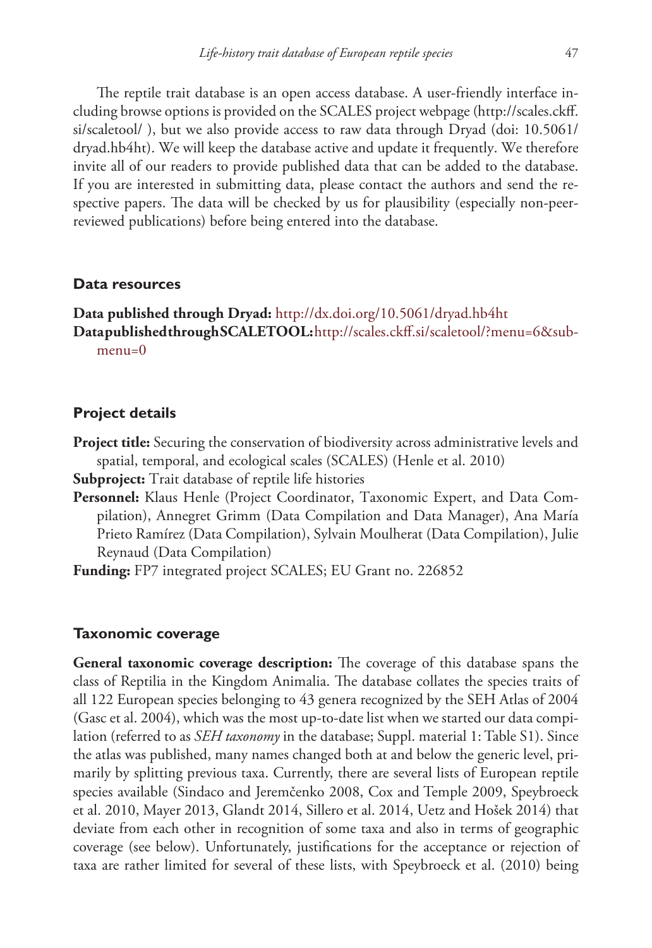The reptile trait database is an open access database. A user-friendly interface including browse options is provided on the SCALES project webpage [\(http://scales.ckff.](http://scales.ckff.si/scaletool/) [si/scaletool/](http://scales.ckff.si/scaletool/) ), but we also provide access to raw data through Dryad ([doi: 10.5061/](http://dx.doi.org/10.5061/dryad.hb4ht)) [dryad.hb4ht\).](http://dx.doi.org/10.5061/dryad.hb4ht)) We will keep the database active and update it frequently. We therefore invite all of our readers to provide published data that can be added to the database. If you are interested in submitting data, please contact the authors and send the respective papers. The data will be checked by us for plausibility (especially non-peerreviewed publications) before being entered into the database.

# **Data resources**

**Data published through Dryad:** <http://dx.doi.org/10.5061/dryad.hb4ht> **Data published through SCALETOOL:**[http://scales.ckff.si/scaletool/?menu=6&sub](http://scales.ckff.si/scaletool/?menu=6&sub%C2%ADmenu=0)[menu=0](http://scales.ckff.si/scaletool/?menu=6&sub%C2%ADmenu=0)

#### **Project details**

**Project title:** Securing the conservation of biodiversity across administrative levels and spatial, temporal, and ecological scales (SCALES) (Henle et al. 2010)

**Subproject:** Trait database of reptile life histories

**Personnel:** Klaus Henle (Project Coordinator, Taxonomic Expert, and Data Compilation), Annegret Grimm (Data Compilation and Data Manager), Ana María Prieto Ramírez (Data Compilation), Sylvain Moulherat (Data Compilation), Julie Reynaud (Data Compilation)

**Funding:** FP7 integrated project SCALES; EU Grant no. 226852

#### **Taxonomic coverage**

**General taxonomic coverage description:** The coverage of this database spans the class of Reptilia in the Kingdom Animalia. The database collates the species traits of all 122 European species belonging to 43 genera recognized by the SEH Atlas of 2004 (Gasc et al. 2004), which was the most up-to-date list when we started our data compilation (referred to as *SEH taxonomy* in the database; Suppl. material 1: Table S1). Since the atlas was published, many names changed both at and below the generic level, primarily by splitting previous taxa. Currently, there are several lists of European reptile species available (Sindaco and Jeremčenko 2008, Cox and Temple 2009, Speybroeck et al. 2010, Mayer 2013, Glandt 2014, Sillero et al. 2014, Uetz and Hošek 2014) that deviate from each other in recognition of some taxa and also in terms of geographic coverage (see below). Unfortunately, justifications for the acceptance or rejection of taxa are rather limited for several of these lists, with Speybroeck et al. (2010) being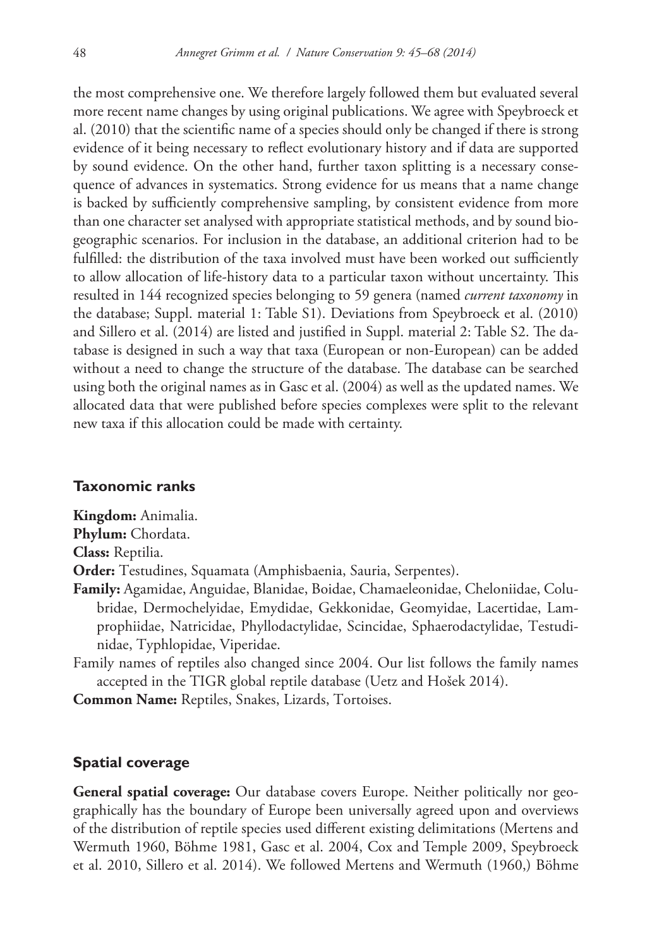the most comprehensive one. We therefore largely followed them but evaluated several more recent name changes by using original publications. We agree with Speybroeck et al. (2010) that the scientific name of a species should only be changed if there is strong evidence of it being necessary to reflect evolutionary history and if data are supported by sound evidence. On the other hand, further taxon splitting is a necessary consequence of advances in systematics. Strong evidence for us means that a name change is backed by sufficiently comprehensive sampling, by consistent evidence from more than one character set analysed with appropriate statistical methods, and by sound biogeographic scenarios. For inclusion in the database, an additional criterion had to be fulfilled: the distribution of the taxa involved must have been worked out sufficiently to allow allocation of life-history data to a particular taxon without uncertainty. This resulted in 144 recognized species belonging to 59 genera (named *current taxonomy* in the database; Suppl. material 1: Table S1). Deviations from Speybroeck et al. (2010) and Sillero et al. (2014) are listed and justified in Suppl. material 2: Table S2. The database is designed in such a way that taxa (European or non-European) can be added without a need to change the structure of the database. The database can be searched using both the original names as in Gasc et al. (2004) as well as the updated names. We allocated data that were published before species complexes were split to the relevant new taxa if this allocation could be made with certainty.

# **Taxonomic ranks**

**Kingdom:** Animalia.

**Phylum:** Chordata.

**Class:** Reptilia.

**Order:** Testudines, Squamata (Amphisbaenia, Sauria, Serpentes).

- **Family:** Agamidae, Anguidae, Blanidae, Boidae, Chamaeleonidae, Cheloniidae, Colubridae, Dermochelyidae, Emydidae, Gekkonidae, Geomyidae, Lacertidae, Lamprophiidae, Natricidae, Phyllodactylidae, Scincidae, Sphaerodactylidae, Testudinidae, Typhlopidae, Viperidae.
- Family names of reptiles also changed since 2004. Our list follows the family names accepted in the TIGR global reptile database (Uetz and Hošek 2014).

**Common Name:** Reptiles, Snakes, Lizards, Tortoises.

# **Spatial coverage**

**General spatial coverage:** Our database covers Europe. Neither politically nor geographically has the boundary of Europe been universally agreed upon and overviews of the distribution of reptile species used different existing delimitations (Mertens and Wermuth 1960, Böhme 1981, Gasc et al. 2004, Cox and Temple 2009, Speybroeck et al. 2010, Sillero et al. 2014). We followed Mertens and Wermuth (1960,) Böhme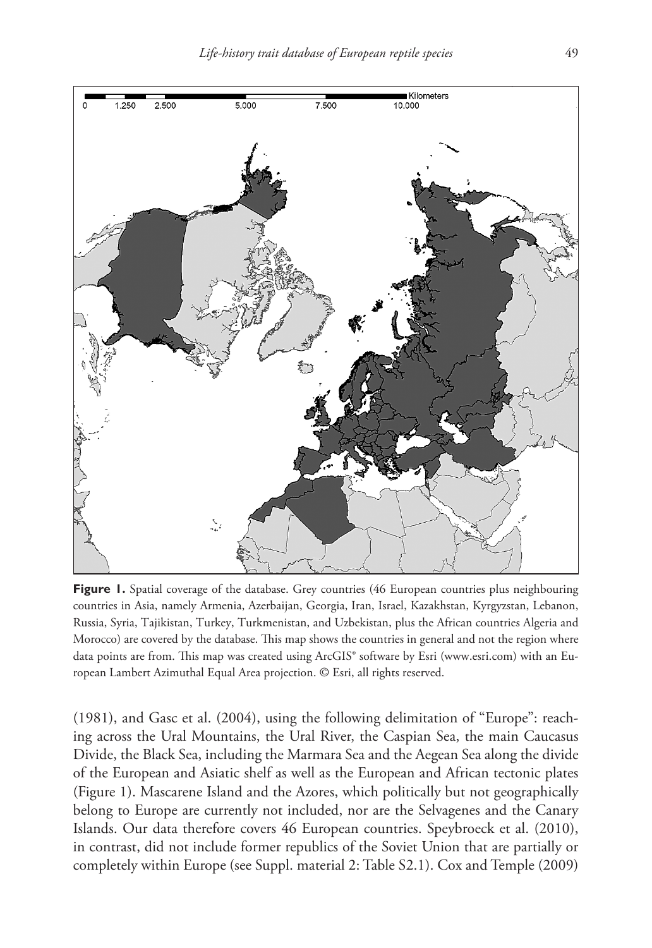

**Figure 1.** Spatial coverage of the database. Grey countries (46 European countries plus neighbouring countries in Asia, namely Armenia, Azerbaijan, Georgia, Iran, Israel, Kazakhstan, Kyrgyzstan, Lebanon, Russia, Syria, Tajikistan, Turkey, Turkmenistan, and Uzbekistan, plus the African countries Algeria and Morocco) are covered by the database. This map shows the countries in general and not the region where data points are from. This map was created using ArcGIS® software by Esri [\(www.esri.com](http://www.esri.com)) with an European Lambert Azimuthal Equal Area projection. © Esri, all rights reserved.

(1981), and Gasc et al. (2004), using the following delimitation of "Europe": reaching across the Ural Mountains, the Ural River, the Caspian Sea, the main Caucasus Divide, the Black Sea, including the Marmara Sea and the Aegean Sea along the divide of the European and Asiatic shelf as well as the European and African tectonic plates (Figure 1). Mascarene Island and the Azores, which politically but not geographically belong to Europe are currently not included, nor are the Selvagenes and the Canary Islands. Our data therefore covers 46 European countries. Speybroeck et al. (2010), in contrast, did not include former republics of the Soviet Union that are partially or completely within Europe (see Suppl. material 2: Table S2.1). Cox and Temple (2009)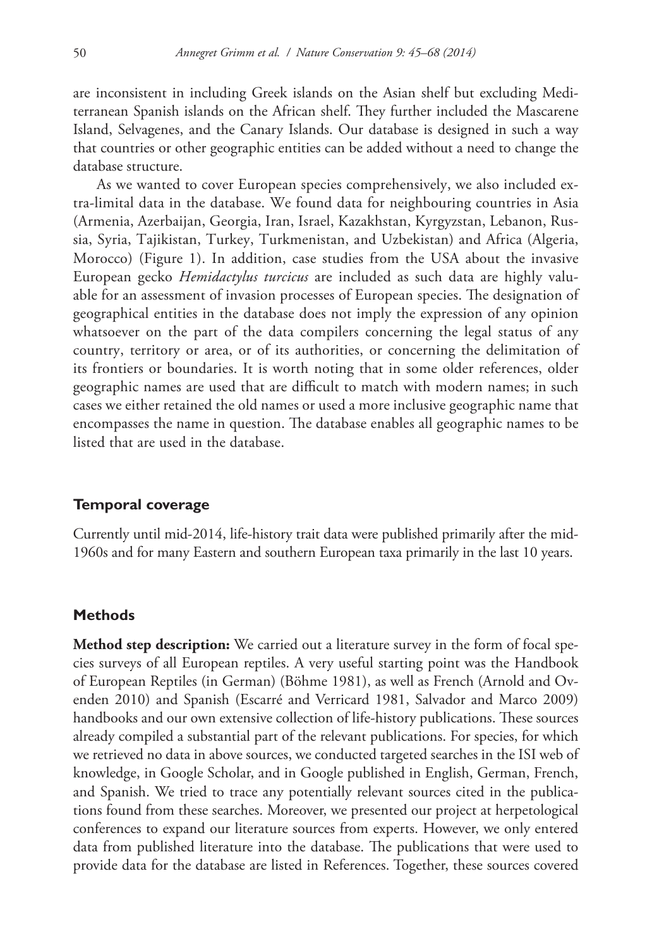are inconsistent in including Greek islands on the Asian shelf but excluding Mediterranean Spanish islands on the African shelf. They further included the Mascarene Island, Selvagenes, and the Canary Islands. Our database is designed in such a way that countries or other geographic entities can be added without a need to change the database structure.

As we wanted to cover European species comprehensively, we also included extra-limital data in the database. We found data for neighbouring countries in Asia (Armenia, Azerbaijan, Georgia, Iran, Israel, Kazakhstan, Kyrgyzstan, Lebanon, Russia, Syria, Tajikistan, Turkey, Turkmenistan, and Uzbekistan) and Africa (Algeria, Morocco) (Figure 1). In addition, case studies from the USA about the invasive European gecko *Hemidactylus turcicus* are included as such data are highly valuable for an assessment of invasion processes of European species. The designation of geographical entities in the database does not imply the expression of any opinion whatsoever on the part of the data compilers concerning the legal status of any country, territory or area, or of its authorities, or concerning the delimitation of its frontiers or boundaries. It is worth noting that in some older references, older geographic names are used that are difficult to match with modern names; in such cases we either retained the old names or used a more inclusive geographic name that encompasses the name in question. The database enables all geographic names to be listed that are used in the database.

## **Temporal coverage**

Currently until mid-2014, life-history trait data were published primarily after the mid-1960s and for many Eastern and southern European taxa primarily in the last 10 years.

#### **Methods**

**Method step description:** We carried out a literature survey in the form of focal species surveys of all European reptiles. A very useful starting point was the Handbook of European Reptiles (in German) (Böhme 1981), as well as French (Arnold and Ovenden 2010) and Spanish (Escarré and Verricard 1981, Salvador and Marco 2009) handbooks and our own extensive collection of life-history publications. These sources already compiled a substantial part of the relevant publications. For species, for which we retrieved no data in above sources, we conducted targeted searches in the ISI web of knowledge, in Google Scholar, and in Google published in English, German, French, and Spanish. We tried to trace any potentially relevant sources cited in the publications found from these searches. Moreover, we presented our project at herpetological conferences to expand our literature sources from experts. However, we only entered data from published literature into the database. The publications that were used to provide data for the database are listed in References. Together, these sources covered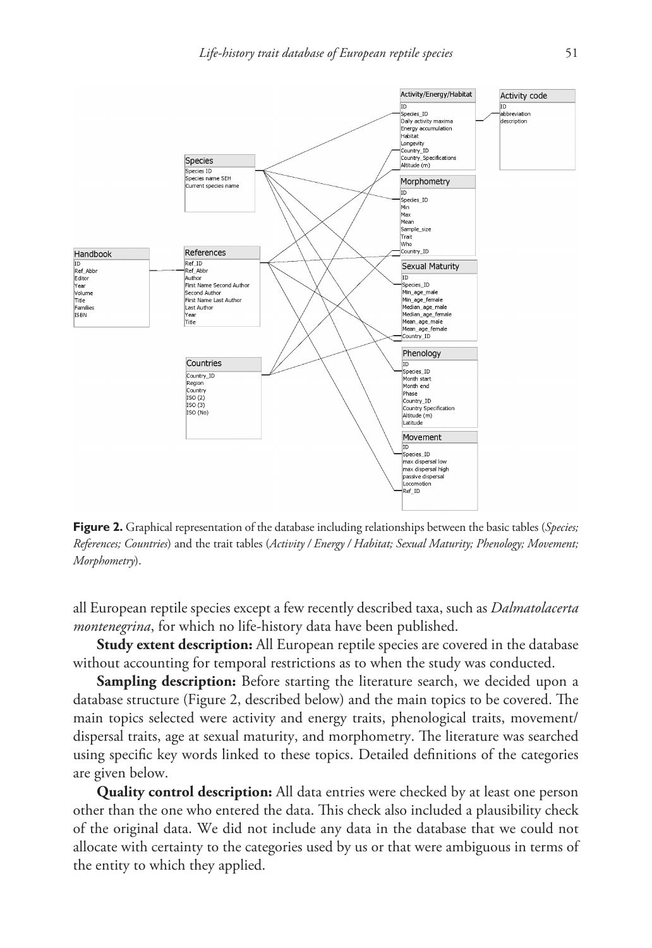

**Figure 2.** Graphical representation of the database including relationships between the basic tables (*Species; References; Countries*) and the trait tables (*Activity / Energy / Habitat; Sexual Maturity; Phenology; Movement; Morphometry*).

all European reptile species except a few recently described taxa, such as *Dalmatolacerta montenegrina*, for which no life-history data have been published.

**Study extent description:** All European reptile species are covered in the database without accounting for temporal restrictions as to when the study was conducted.

**Sampling description:** Before starting the literature search, we decided upon a database structure (Figure 2, described below) and the main topics to be covered. The main topics selected were activity and energy traits, phenological traits, movement/ dispersal traits, age at sexual maturity, and morphometry. The literature was searched using specific key words linked to these topics. Detailed definitions of the categories are given below.

**Quality control description:** All data entries were checked by at least one person other than the one who entered the data. This check also included a plausibility check of the original data. We did not include any data in the database that we could not allocate with certainty to the categories used by us or that were ambiguous in terms of the entity to which they applied.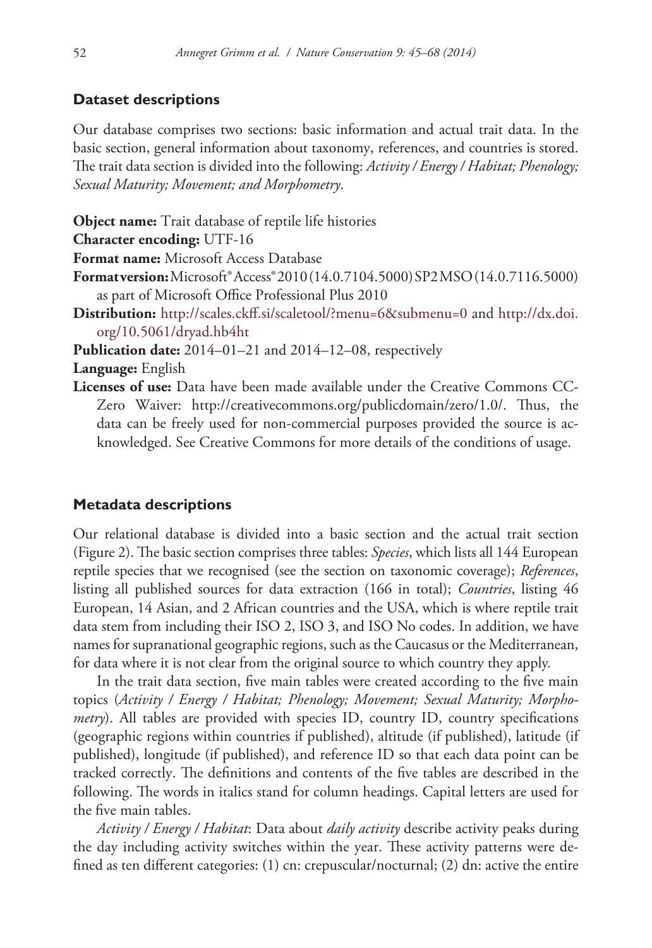# **Dataset descriptions**

Our database comprises two sections: basic information and actual trait data. In the basic section, general information about taxonomy, references, and countries is stored. The trait data section is divided into the following: *Activity / Energy / Habitat; Phenology; Sexual Maturity; Movement; and Morphometry*.

**Object name:** Trait database of reptile life histories

**Character encoding:** UTF-16

**Format name:** Microsoft Access Database

- **Format version:** Microsoft® Access® 2010 (14.0.7104.5000) SP2 MSO (14.0.7116.5000) as part of Microsoft Office Professional Plus 2010
- **Distribution:** <http://scales.ckff.si/scaletool/?menu=6&submenu=0>and [http://dx.doi.](http://dx.doi.org/10.5061/dryad.hb4ht) [org/10.5061/dryad.hb4ht](http://dx.doi.org/10.5061/dryad.hb4ht)

**Publication date:** 2014–01–21 and 2014–12–08, respectively

**Language:** English

**Licenses of use:** Data have been made available under the Creative Commons CC-Zero Waiver: <http://creativecommons.org/publicdomain/zero/1.0/>. Thus, the data can be freely used for non-commercial purposes provided the source is acknowledged. See Creative Commons for more details of the conditions of usage.

# **Metadata descriptions**

Our relational database is divided into a basic section and the actual trait section (Figure 2). The basic section comprises three tables: *Species*, which lists all 144 European reptile species that we recognised (see the section on taxonomic coverage); *References*, listing all published sources for data extraction (166 in total); *Countries*, listing 46 European, 14 Asian, and 2 African countries and the USA, which is where reptile trait data stem from including their ISO 2, ISO 3, and ISO No codes. In addition, we have names for supranational geographic regions, such as the Caucasus or the Mediterranean, for data where it is not clear from the original source to which country they apply.

In the trait data section, five main tables were created according to the five main topics (*Activity / Energy / Habitat; Phenology; Movement; Sexual Maturity; Morphometry*). All tables are provided with species ID, country ID, country specifications (geographic regions within countries if published), altitude (if published), latitude (if published), longitude (if published), and reference ID so that each data point can be tracked correctly. The definitions and contents of the five tables are described in the following. The words in italics stand for column headings. Capital letters are used for the five main tables.

*Activity / Energy / Habitat*: Data about *daily activity* describe activity peaks during the day including activity switches within the year. These activity patterns were defined as ten different categories: (1) cn: crepuscular/nocturnal; (2) dn: active the entire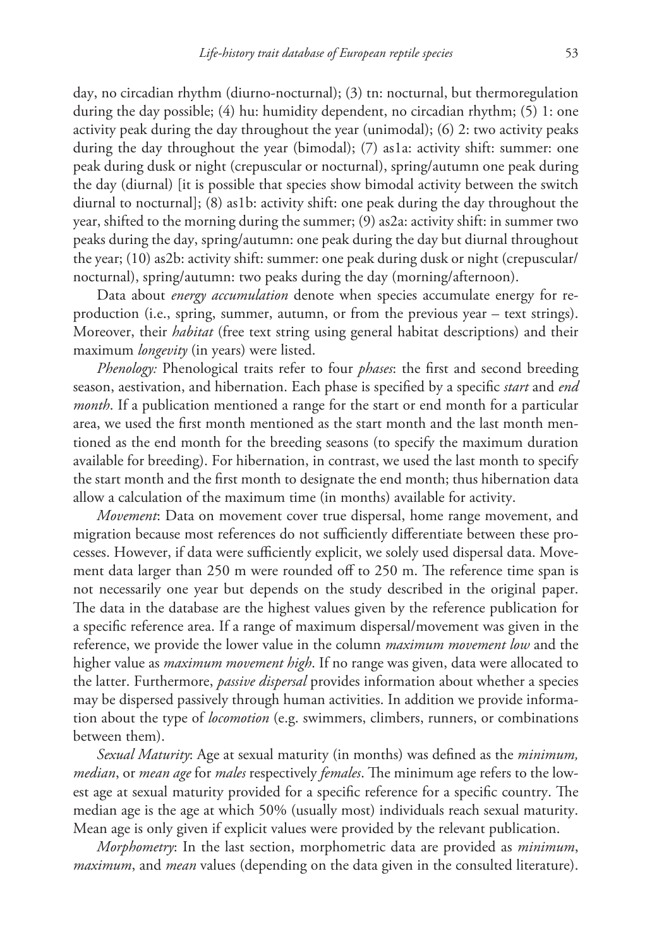day, no circadian rhythm (diurno-nocturnal); (3) tn: nocturnal, but thermoregulation during the day possible; (4) hu: humidity dependent, no circadian rhythm; (5) 1: one activity peak during the day throughout the year (unimodal); (6) 2: two activity peaks during the day throughout the year (bimodal); (7) as1a: activity shift: summer: one peak during dusk or night (crepuscular or nocturnal), spring/autumn one peak during the day (diurnal) [it is possible that species show bimodal activity between the switch diurnal to nocturnal]; (8) as1b: activity shift: one peak during the day throughout the year, shifted to the morning during the summer; (9) as2a: activity shift: in summer two peaks during the day, spring/autumn: one peak during the day but diurnal throughout the year; (10) as2b: activity shift: summer: one peak during dusk or night (crepuscular/ nocturnal), spring/autumn: two peaks during the day (morning/afternoon).

Data about *energy accumulation* denote when species accumulate energy for reproduction (i.e., spring, summer, autumn, or from the previous year – text strings). Moreover, their *habitat* (free text string using general habitat descriptions) and their maximum *longevity* (in years) were listed.

*Phenology:* Phenological traits refer to four *phases*: the first and second breeding season, aestivation, and hibernation. Each phase is specified by a specific *start* and *end month*. If a publication mentioned a range for the start or end month for a particular area, we used the first month mentioned as the start month and the last month mentioned as the end month for the breeding seasons (to specify the maximum duration available for breeding). For hibernation, in contrast, we used the last month to specify the start month and the first month to designate the end month; thus hibernation data allow a calculation of the maximum time (in months) available for activity.

*Movement*: Data on movement cover true dispersal, home range movement, and migration because most references do not sufficiently differentiate between these processes. However, if data were sufficiently explicit, we solely used dispersal data. Movement data larger than 250 m were rounded off to 250 m. The reference time span is not necessarily one year but depends on the study described in the original paper. The data in the database are the highest values given by the reference publication for a specific reference area. If a range of maximum dispersal/movement was given in the reference, we provide the lower value in the column *maximum movement low* and the higher value as *maximum movement high*. If no range was given, data were allocated to the latter. Furthermore, *passive dispersal* provides information about whether a species may be dispersed passively through human activities. In addition we provide information about the type of *locomotion* (e.g. swimmers, climbers, runners, or combinations between them).

*Sexual Maturity*: Age at sexual maturity (in months) was defined as the *minimum, median*, or *mean age* for *males* respectively *females*. The minimum age refers to the lowest age at sexual maturity provided for a specific reference for a specific country. The median age is the age at which 50% (usually most) individuals reach sexual maturity. Mean age is only given if explicit values were provided by the relevant publication.

*Morphometry*: In the last section, morphometric data are provided as *minimum*, *maximum*, and *mean* values (depending on the data given in the consulted literature).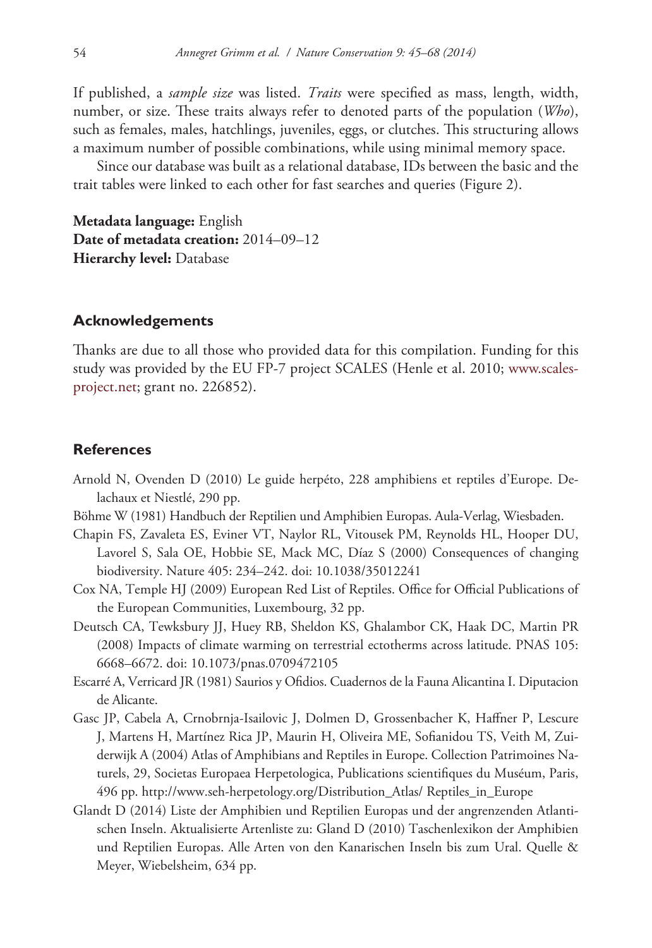If published, a *sample size* was listed. *Traits* were specified as mass, length, width, number, or size. These traits always refer to denoted parts of the population (*Who*), such as females, males, hatchlings, juveniles, eggs, or clutches. This structuring allows a maximum number of possible combinations, while using minimal memory space.

Since our database was built as a relational database, IDs between the basic and the trait tables were linked to each other for fast searches and queries (Figure 2).

**Metadata language:** English **Date of metadata creation:** 2014–09–12 **Hierarchy level:** Database

#### **Acknowledgements**

Thanks are due to all those who provided data for this compilation. Funding for this study was provided by the EU FP-7 project SCALES (Henle et al. 2010; [www.scales](http://www.scales-project.net)[project.net](http://www.scales-project.net); grant no. 226852).

#### **References**

- Arnold N, Ovenden D (2010) Le guide herpéto, 228 amphibiens et reptiles d'Europe. Delachaux et Niestlé, 290 pp.
- Böhme W (1981) Handbuch der Reptilien und Amphibien Europas. Aula-Verlag, Wiesbaden.
- Chapin FS, Zavaleta ES, Eviner VT, Naylor RL, Vitousek PM, Reynolds HL, Hooper DU, Lavorel S, Sala OE, Hobbie SE, Mack MC, Díaz S (2000) Consequences of changing biodiversity. Nature 405: 234–242. [doi: 10.1038/35012241](http://dx.doi.org/10.1038/35012241)
- Cox NA, Temple HJ (2009) European Red List of Reptiles. Office for Official Publications of the European Communities, Luxembourg, 32 pp.
- Deutsch CA, Tewksbury JJ, Huey RB, Sheldon KS, Ghalambor CK, Haak DC, Martin PR (2008) Impacts of climate warming on terrestrial ectotherms across latitude. PNAS 105: 6668–6672. [doi: 10.1073/pnas.0709472105](http://dx.doi.org/10.1073/pnas.0709472105)
- Escarré A, Verricard JR (1981) Saurios y Ofidios. Cuadernos de la Fauna Alicantina I. Diputacion de Alicante.
- Gasc JP, Cabela A, Crnobrnja-Isailovic J, Dolmen D, Grossenbacher K, Haffner P, Lescure J, Martens H, Martínez Rica JP, Maurin H, Oliveira ME, Sofianidou TS, Veith M, Zuiderwijk A (2004) Atlas of Amphibians and Reptiles in Europe. Collection Patrimoines Naturels, 29, Societas Europaea Herpetologica, Publications scientifiques du Muséum, Paris, 496 pp. [http://www.seh-herpetology.org/Distribution\\_Atlas/](http://www.seh-herpetology.org/Distribution_Atlas/) Reptiles\_in\_Europe
- Glandt D (2014) Liste der Amphibien und Reptilien Europas und der angrenzenden Atlantischen Inseln. Aktualisierte Artenliste zu: Gland D (2010) Taschenlexikon der Amphibien und Reptilien Europas. Alle Arten von den Kanarischen Inseln bis zum Ural. Quelle & Meyer, Wiebelsheim, 634 pp.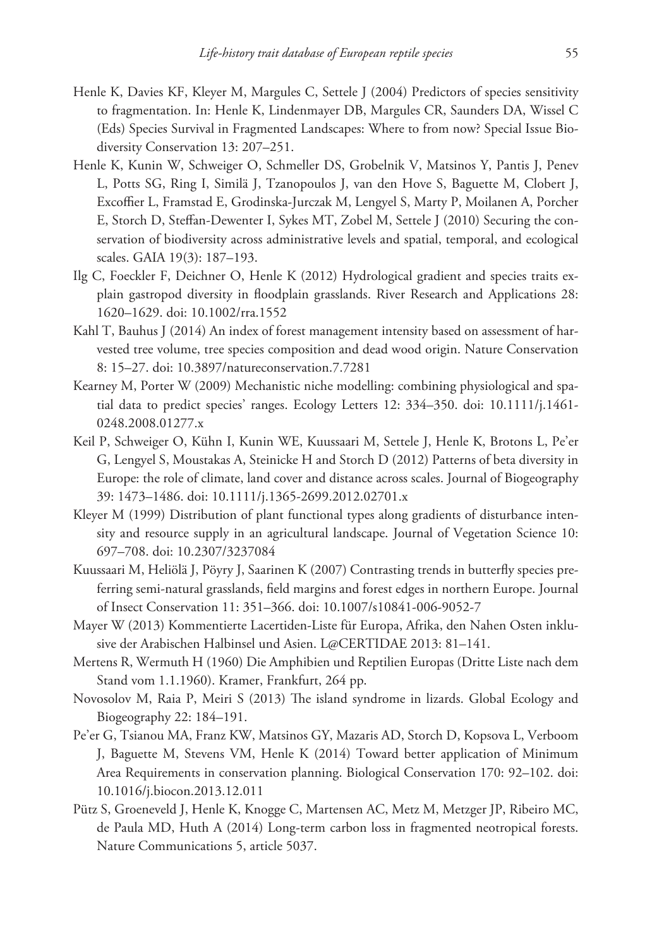- Henle K, Davies KF, Kleyer M, Margules C, Settele J (2004) Predictors of species sensitivity to fragmentation. In: Henle K, Lindenmayer DB, Margules CR, Saunders DA, Wissel C (Eds) Species Survival in Fragmented Landscapes: Where to from now? Special Issue Biodiversity Conservation 13: 207–251.
- Henle K, Kunin W, Schweiger O, Schmeller DS, Grobelnik V, Matsinos Y, Pantis J, Penev L, Potts SG, Ring I, Similä J, Tzanopoulos J, van den Hove S, Baguette M, Clobert J, Excoffier L, Framstad E, Grodinska-Jurczak M, Lengyel S, Marty P, Moilanen A, Porcher E, Storch D, Steffan-Dewenter I, Sykes MT, Zobel M, Settele J (2010) Securing the conservation of biodiversity across administrative levels and spatial, temporal, and ecological scales. GAIA 19(3): 187–193.
- Ilg C, Foeckler F, Deichner O, Henle K (2012) Hydrological gradient and species traits explain gastropod diversity in floodplain grasslands. River Research and Applications 28: 1620–1629. [doi: 10.1002/rra.1552](http://dx.doi.org/10.1002/rra.1552)
- Kahl T, Bauhus J (2014) An index of forest management intensity based on assessment of harvested tree volume, tree species composition and dead wood origin. Nature Conservation 8: 15–27. [doi: 10.3897/natureconservation.7.7281](http://dx.doi.org/10.3897/natureconservation.7.7281)
- Kearney M, Porter W (2009) Mechanistic niche modelling: combining physiological and spatial data to predict species' ranges. Ecology Letters 12: 334–350. [doi: 10.1111/j.1461-](http://dx.doi.org/10.1111/j.1461-0248.2008.01277.x) [0248.2008.01277.x](http://dx.doi.org/10.1111/j.1461-0248.2008.01277.x)
- Keil P, Schweiger O, Kühn I, Kunin WE, Kuussaari M, Settele J, Henle K, Brotons L, Pe'er G, Lengyel S, Moustakas A, Steinicke H and Storch D (2012) Patterns of beta diversity in Europe: the role of climate, land cover and distance across scales. Journal of Biogeography 39: 1473–1486. [doi: 10.1111/j.1365-2699.2012.02701.x](http://dx.doi.org/10.1111/j.1365-2699.2012.02701.x)
- Kleyer M (1999) Distribution of plant functional types along gradients of disturbance intensity and resource supply in an agricultural landscape. Journal of Vegetation Science 10: 697–708. [doi: 10.2307/3237084](http://dx.doi.org/10.2307/3237084)
- Kuussaari M, Heliölä J, Pöyry J, Saarinen K (2007) Contrasting trends in butterfly species preferring semi-natural grasslands, field margins and forest edges in northern Europe. Journal of Insect Conservation 11: 351–366. [doi: 10.1007/s10841-006-9052-7](http://dx.doi.org/10.1007/s10841-006-9052-7)
- Mayer W (2013) Kommentierte Lacertiden-Liste für Europa, Afrika, den Nahen Osten inklusive der Arabischen Halbinsel und Asien. L@CERTIDAE 2013: 81–141.
- Mertens R, Wermuth H (1960) Die Amphibien und Reptilien Europas (Dritte Liste nach dem Stand vom 1.1.1960). Kramer, Frankfurt, 264 pp.
- Novosolov M, Raia P, Meiri S (2013) The island syndrome in lizards. Global Ecology and Biogeography 22: 184–191.
- Pe'er G, Tsianou MA, Franz KW, Matsinos GY, Mazaris AD, Storch D, Kopsova L, Verboom J, Baguette M, Stevens VM, Henle K (2014) Toward better application of Minimum Area Requirements in conservation planning. Biological Conservation 170: 92–102. [doi:](http://dx.doi.org/10.1016/j.biocon.2013.12.011) [10.1016/j.biocon.2013.12.011](http://dx.doi.org/10.1016/j.biocon.2013.12.011)
- Pütz S, Groeneveld J, Henle K, Knogge C, Martensen AC, Metz M, Metzger JP, Ribeiro MC, de Paula MD, Huth A (2014) Long-term carbon loss in fragmented neotropical forests. Nature Communications 5, article 5037.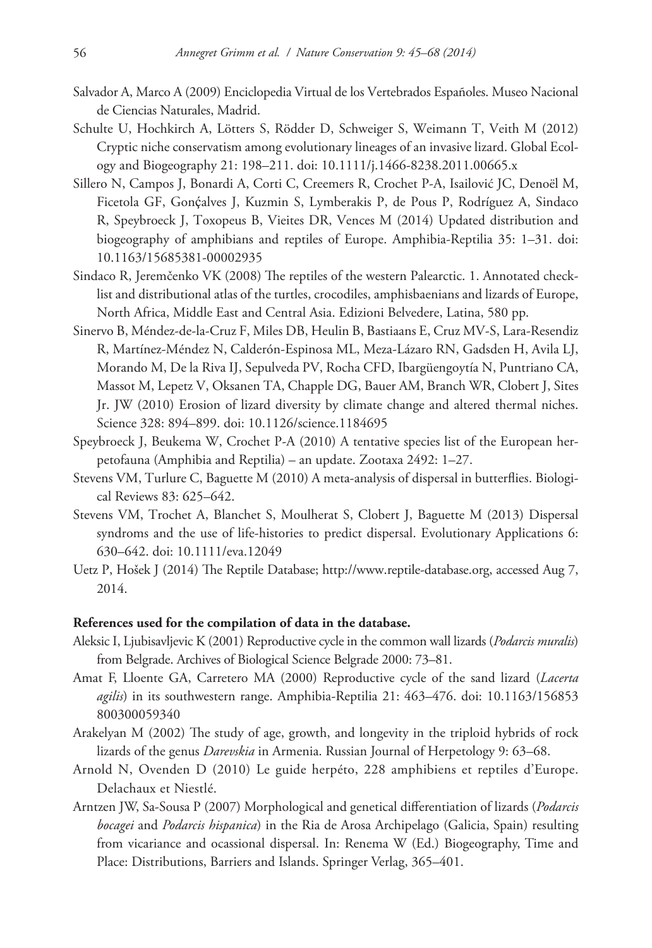- Salvador A, Marco A (2009) Enciclopedia Virtual de los Vertebrados Españoles. Museo Nacional de Ciencias Naturales, Madrid.
- Schulte U, Hochkirch A, Lötters S, Rödder D, Schweiger S, Weimann T, Veith M (2012) Cryptic niche conservatism among evolutionary lineages of an invasive lizard. Global Ecology and Biogeography 21: 198–211. [doi: 10.1111/j.1466-8238.2011.00665.x](http://dx.doi.org/10.1111/j.1466-8238.2011.00665.x)
- Sillero N, Campos J, Bonardi A, Corti C, Creemers R, Crochet P-A, Isailović JC, Denoël M, Ficetola GF, Gonçalves J, Kuzmin S, Lymberakis P, de Pous P, Rodríguez A, Sindaco R, Speybroeck J, Toxopeus B, Vieites DR, Vences M (2014) Updated distribution and biogeography of amphibians and reptiles of Europe. Amphibia-Reptilia 35: 1–31. [doi:](http://dx.doi.org/10.1163/15685381-00002935) [10.1163/15685381-00002935](http://dx.doi.org/10.1163/15685381-00002935)
- Sindaco R, Jeremčenko VK (2008) The reptiles of the western Palearctic. 1. Annotated checklist and distributional atlas of the turtles, crocodiles, amphisbaenians and lizards of Europe, North Africa, Middle East and Central Asia. Edizioni Belvedere, Latina, 580 pp.
- Sinervo B, Méndez-de-la-Cruz F, Miles DB, Heulin B, Bastiaans E, Cruz MV-S, Lara-Resendiz R, Martínez-Méndez N, Calderón-Espinosa ML, Meza-Lázaro RN, Gadsden H, Avila LJ, Morando M, De la Riva IJ, Sepulveda PV, Rocha CFD, Ibargüengoytía N, Puntriano CA, Massot M, Lepetz V, Oksanen TA, Chapple DG, Bauer AM, Branch WR, Clobert J, Sites Jr. JW (2010) Erosion of lizard diversity by climate change and altered thermal niches. Science 328: 894–899. [doi: 10.1126/science.1184695](http://dx.doi.org/10.1126/science.1184695)
- Speybroeck J, Beukema W, Crochet P-A (2010) A tentative species list of the European herpetofauna (Amphibia and Reptilia) – an update. Zootaxa 2492: 1–27.
- Stevens VM, Turlure C, Baguette M (2010) A meta-analysis of dispersal in butterflies. Biological Reviews 83: 625–642.
- Stevens VM, Trochet A, Blanchet S, Moulherat S, Clobert J, Baguette M (2013) Dispersal syndroms and the use of life-histories to predict dispersal. Evolutionary Applications 6: 630–642. [doi: 10.1111/eva.12049](http://dx.doi.org/10.1111/eva.12049)
- Uetz P, Hošek J (2014) The Reptile Database;<http://www.reptile-database.org>, accessed Aug 7, 2014.

#### **References used for the compilation of data in the database.**

- Aleksic I, Ljubisavljevic K (2001) Reproductive cycle in the common wall lizards (*Podarcis muralis*) from Belgrade. Archives of Biological Science Belgrade 2000: 73–81.
- Amat F, Lloente GA, Carretero MA (2000) Reproductive cycle of the sand lizard (*Lacerta agilis*) in its southwestern range. Amphibia-Reptilia 21: 463–476. [doi: 10.1163/156853](http://dx.doi.org/10.1163/156853%C2%AD800300059340) [800300059340](http://dx.doi.org/10.1163/156853%C2%AD800300059340)
- Arakelyan M (2002) The study of age, growth, and longevity in the triploid hybrids of rock lizards of the genus *Darevskia* in Armenia. Russian Journal of Herpetology 9: 63–68.
- Arnold N, Ovenden D (2010) Le guide herpéto, 228 amphibiens et reptiles d'Europe. Delachaux et Niestlé.
- Arntzen JW, Sa-Sousa P (2007) Morphological and genetical differentiation of lizards (*Podarcis bocagei* and *Podarcis hispanica*) in the Ria de Arosa Archipelago (Galicia, Spain) resulting from vicariance and ocassional dispersal. In: Renema W (Ed.) Biogeography, Time and Place: Distributions, Barriers and Islands. Springer Verlag, 365–401.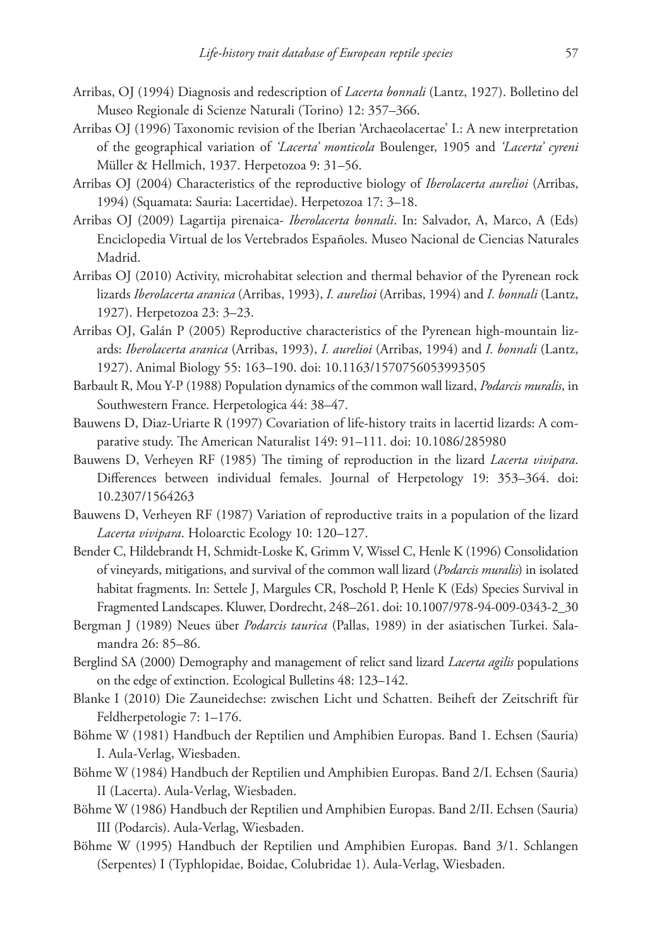- Arribas, OJ (1994) Diagnosis and redescription of *Lacerta bonnali* (Lantz, 1927). Bolletino del Museo Regionale di Scienze Naturali (Torino) 12: 357–366.
- Arribas OJ (1996) Taxonomic revision of the Iberian 'Archaeolacertae' I.: A new interpretation of the geographical variation of *'Lacerta' monticola* Boulenger, 1905 and *'Lacerta' cyreni* Müller & Hellmich, 1937. Herpetozoa 9: 31–56.
- Arribas OJ (2004) Characteristics of the reproductive biology of *Iberolacerta aurelioi* (Arribas, 1994) (Squamata: Sauria: Lacertidae). Herpetozoa 17: 3–18.
- Arribas OJ (2009) Lagartija pirenaica- *Iberolacerta bonnali*. In: Salvador, A, Marco, A (Eds) Enciclopedia Virtual de los Vertebrados Españoles. Museo Nacional de Ciencias Naturales Madrid.
- Arribas OJ (2010) Activity, microhabitat selection and thermal behavior of the Pyrenean rock lizards *Iberolacerta aranica* (Arribas, 1993), *I. aurelioi* (Arribas, 1994) and *I. bonnali* (Lantz, 1927). Herpetozoa 23: 3–23.
- Arribas OJ, Galán P (2005) Reproductive characteristics of the Pyrenean high-mountain lizards: *Iberolacerta aranica* (Arribas, 1993), *I. aurelioi* (Arribas, 1994) and *I. bonnali* (Lantz, 1927). Animal Biology 55: 163–190. [doi: 10.1163/1570756053993505](http://dx.doi.org/10.1163/1570756053993505)
- Barbault R, Mou Y-P (1988) Population dynamics of the common wall lizard, *Podarcis muralis*, in Southwestern France. Herpetologica 44: 38–47.
- Bauwens D, Diaz-Uriarte R (1997) Covariation of life-history traits in lacertid lizards: A comparative study. The American Naturalist 149: 91–111. [doi: 10.1086/285980](http://dx.doi.org/10.1086/285980)
- Bauwens D, Verheyen RF (1985) The timing of reproduction in the lizard *Lacerta vivipara*. Differences between individual females. Journal of Herpetology 19: 353–364. [doi:](http://dx.doi.org/10.2307/1564263) [10.2307/1564263](http://dx.doi.org/10.2307/1564263)
- Bauwens D, Verheyen RF (1987) Variation of reproductive traits in a population of the lizard *Lacerta vivipara*. Holoarctic Ecology 10: 120–127.
- Bender C, Hildebrandt H, Schmidt-Loske K, Grimm V, Wissel C, Henle K (1996) Consolidation of vineyards, mitigations, and survival of the common wall lizard (*Podarcis muralis*) in isolated habitat fragments. In: Settele J, Margules CR, Poschold P, Henle K (Eds) Species Survival in Fragmented Landscapes. Kluwer, Dordrecht, 248–261. [doi: 10.1007/978-94-009-0343-2\\_30](http://dx.doi.org/10.1007/978-94-009-0343-2_30)
- Bergman J (1989) Neues über *Podarcis taurica* (Pallas, 1989) in der asiatischen Turkei. Salamandra 26: 85–86.
- Berglind SA (2000) Demography and management of relict sand lizard *Lacerta agilis* populations on the edge of extinction. Ecological Bulletins 48: 123–142.
- Blanke I (2010) Die Zauneidechse: zwischen Licht und Schatten. Beiheft der Zeitschrift für Feldherpetologie 7: 1–176.
- Böhme W (1981) Handbuch der Reptilien und Amphibien Europas. Band 1. Echsen (Sauria) I. Aula-Verlag, Wiesbaden.
- Böhme W (1984) Handbuch der Reptilien und Amphibien Europas. Band 2/I. Echsen (Sauria) II (Lacerta). Aula-Verlag, Wiesbaden.
- Böhme W (1986) Handbuch der Reptilien und Amphibien Europas. Band 2/II. Echsen (Sauria) III (Podarcis). Aula-Verlag, Wiesbaden.
- Böhme W (1995) Handbuch der Reptilien und Amphibien Europas. Band 3/1. Schlangen (Serpentes) I (Typhlopidae, Boidae, Colubridae 1). Aula-Verlag, Wiesbaden.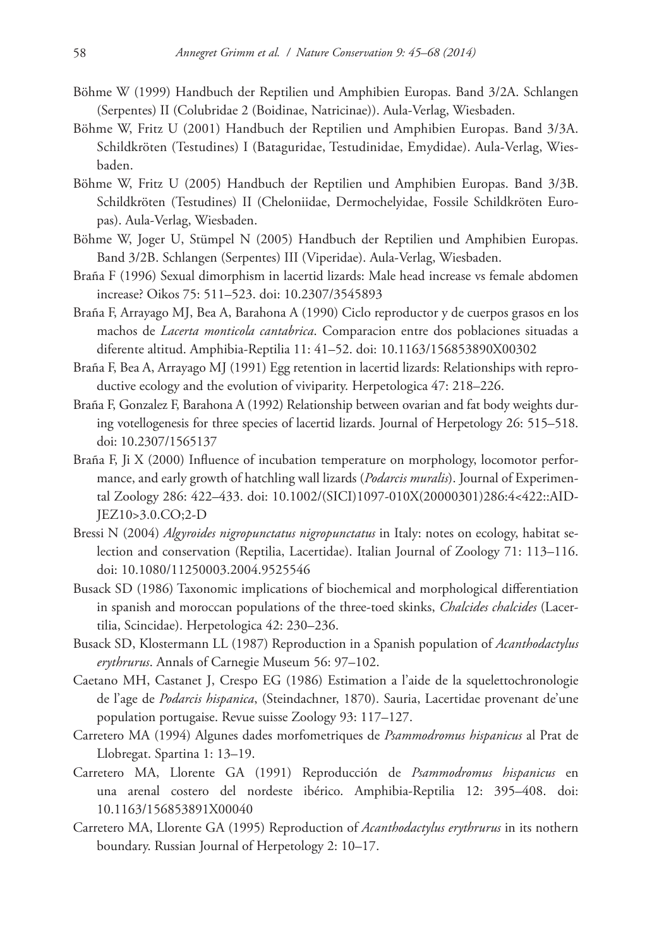- Böhme W (1999) Handbuch der Reptilien und Amphibien Europas. Band 3/2A. Schlangen (Serpentes) II (Colubridae 2 (Boidinae, Natricinae)). Aula-Verlag, Wiesbaden.
- Böhme W, Fritz U (2001) Handbuch der Reptilien und Amphibien Europas. Band 3/3A. Schildkröten (Testudines) I (Bataguridae, Testudinidae, Emydidae). Aula-Verlag, Wiesbaden.
- Böhme W, Fritz U (2005) Handbuch der Reptilien und Amphibien Europas. Band 3/3B. Schildkröten (Testudines) II (Cheloniidae, Dermochelyidae, Fossile Schildkröten Europas). Aula-Verlag, Wiesbaden.
- Böhme W, Joger U, Stümpel N (2005) Handbuch der Reptilien und Amphibien Europas. Band 3/2B. Schlangen (Serpentes) III (Viperidae). Aula-Verlag, Wiesbaden.
- Braña F (1996) Sexual dimorphism in lacertid lizards: Male head increase vs female abdomen increase? Oikos 75: 511–523. [doi: 10.2307/3545893](http://dx.doi.org/10.2307/3545893)
- Braña F, Arrayago MJ, Bea A, Barahona A (1990) Ciclo reproductor y de cuerpos grasos en los machos de *Lacerta monticola cantabrica*. Comparacion entre dos poblaciones situadas a diferente altitud. Amphibia-Reptilia 11: 41–52. [doi: 10.1163/156853890X00302](http://dx.doi.org/10.1163/156853890X00302)
- Braña F, Bea A, Arrayago MJ (1991) Egg retention in lacertid lizards: Relationships with reproductive ecology and the evolution of viviparity. Herpetologica 47: 218–226.
- Braña F, Gonzalez F, Barahona A (1992) Relationship between ovarian and fat body weights during votellogenesis for three species of lacertid lizards. Journal of Herpetology 26: 515–518. [doi: 10.2307/1565137](http://dx.doi.org/10.2307/1565137)
- Braña F, Ji X (2000) Influence of incubation temperature on morphology, locomotor performance, and early growth of hatchling wall lizards (*Podarcis muralis*). Journal of Experimental Zoology 286: 422–433. [doi: 10.1002/\(SICI\)1097-010X\(20000301\)286:4<422::AID-](http://dx.doi.org/10.1002/(SICI)1097-010X(20000301)286:4%3C422::AID-JEZ10%3E3.0.CO;2-D)[JEZ10>3.0.CO;2-D](http://dx.doi.org/10.1002/(SICI)1097-010X(20000301)286:4%3C422::AID-JEZ10%3E3.0.CO;2-D)
- Bressi N (2004) *Algyroides nigropunctatus nigropunctatus* in Italy: notes on ecology, habitat selection and conservation (Reptilia, Lacertidae). Italian Journal of Zoology 71: 113–116. [doi: 10.1080/11250003.2004.9525546](http://dx.doi.org/10.1080/11250003.2004.9525546)
- Busack SD (1986) Taxonomic implications of biochemical and morphological differentiation in spanish and moroccan populations of the three-toed skinks, *Chalcides chalcides* (Lacertilia, Scincidae). Herpetologica 42: 230–236.
- Busack SD, Klostermann LL (1987) Reproduction in a Spanish population of *Acanthodactylus erythrurus*. Annals of Carnegie Museum 56: 97–102.
- Caetano MH, Castanet J, Crespo EG (1986) Estimation a l'aide de la squelettochronologie de l'age de *Podarcis hispanica*, (Steindachner, 1870). Sauria, Lacertidae provenant de'une population portugaise. Revue suisse Zoology 93: 117–127.
- Carretero MA (1994) Algunes dades morfometriques de *Psammodromus hispanicus* al Prat de Llobregat. Spartina 1: 13–19.
- Carretero MA, Llorente GA (1991) Reproducción de *Psammodromus hispanicus* en una arenal costero del nordeste ibérico. Amphibia-Reptilia 12: 395–408. [doi:](http://dx.doi.org/10.1163/156853891X00040) [10.1163/156853891X00040](http://dx.doi.org/10.1163/156853891X00040)
- Carretero MA, Llorente GA (1995) Reproduction of *Acanthodactylus erythrurus* in its nothern boundary. Russian Journal of Herpetology 2: 10–17.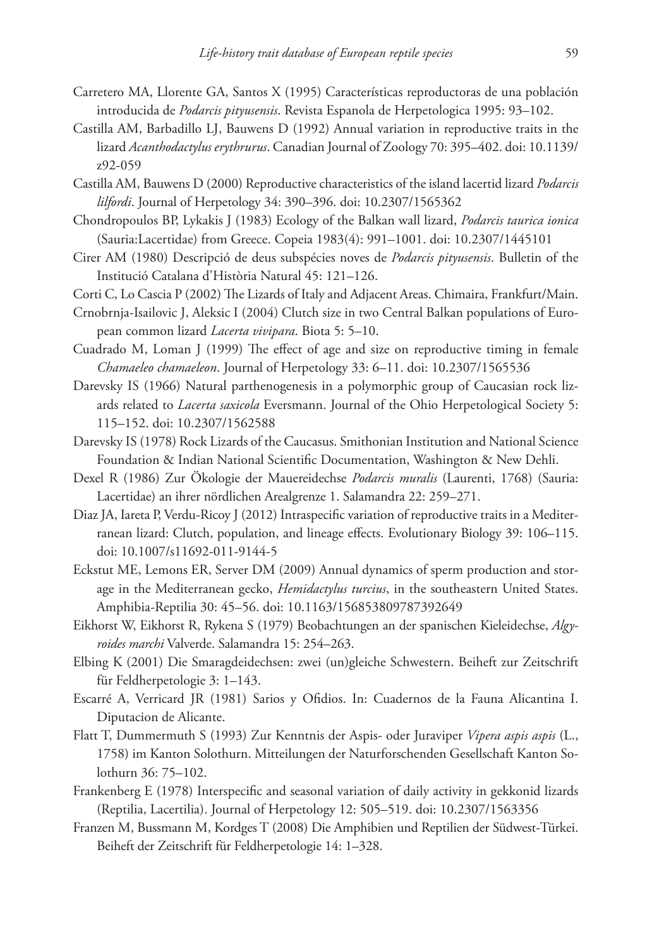- Carretero MA, Llorente GA, Santos X (1995) Características reproductoras de una población introducida de *Podarcis pityusensis*. Revista Espanola de Herpetologica 1995: 93–102.
- Castilla AM, Barbadillo LJ, Bauwens D (1992) Annual variation in reproductive traits in the lizard *Acanthodactylus erythrurus*. Canadian Journal of Zoology 70: 395–402. [doi: 10.1139/](http://dx.doi.org/10.1139/z92-059) [z92-059](http://dx.doi.org/10.1139/z92-059)
- Castilla AM, Bauwens D (2000) Reproductive characteristics of the island lacertid lizard *Podarcis lilfordi*. Journal of Herpetology 34: 390–396. [doi: 10.2307/1565362](http://dx.doi.org/10.2307/1565362)
- Chondropoulos BP, Lykakis J (1983) Ecology of the Balkan wall lizard, *Podarcis taurica ionica* (Sauria:Lacertidae) from Greece. Copeia 1983(4): 991–1001. [doi: 10.2307/1445101](http://dx.doi.org/10.2307/1445101)
- Cirer AM (1980) Descripció de deus subspécies noves de *Podarcis pityusensis*. Bulletin of the Institució Catalana d'Història Natural 45: 121–126.
- Corti C, Lo Cascia P (2002) The Lizards of Italy and Adjacent Areas. Chimaira, Frankfurt/Main.
- Crnobrnja-Isailovic J, Aleksic I (2004) Clutch size in two Central Balkan populations of European common lizard *Lacerta vivipara*. Biota 5: 5–10.
- Cuadrado M, Loman J (1999) The effect of age and size on reproductive timing in female *Chamaeleo chamaeleon*. Journal of Herpetology 33: 6–11. [doi: 10.2307/1565536](http://dx.doi.org/10.2307/1565536)
- Darevsky IS (1966) Natural parthenogenesis in a polymorphic group of Caucasian rock lizards related to *Lacerta saxicola* Eversmann. Journal of the Ohio Herpetological Society 5: 115–152. [doi: 10.2307/1562588](http://dx.doi.org/10.2307/1562588)
- Darevsky IS (1978) Rock Lizards of the Caucasus. Smithonian Institution and National Science Foundation & Indian National Scientific Documentation, Washington & New Dehli.
- Dexel R (1986) Zur Ökologie der Mauereidechse *Podarcis muralis* (Laurenti, 1768) (Sauria: Lacertidae) an ihrer nördlichen Arealgrenze 1. Salamandra 22: 259–271.
- Diaz JA, Iareta P, Verdu-Ricoy J (2012) Intraspecific variation of reproductive traits in a Mediterranean lizard: Clutch, population, and lineage effects. Evolutionary Biology 39: 106–115. [doi: 10.1007/s11692-011-9144-5](http://dx.doi.org/10.1007/s11692-011-9144-5)
- Eckstut ME, Lemons ER, Server DM (2009) Annual dynamics of sperm production and storage in the Mediterranean gecko, *Hemidactylus turcius*, in the southeastern United States. Amphibia-Reptilia 30: 45–56. [doi: 10.1163/156853809787392649](http://dx.doi.org/10.1163/156853809787392649)
- Eikhorst W, Eikhorst R, Rykena S (1979) Beobachtungen an der spanischen Kieleidechse, *Algyroides marchi* Valverde. Salamandra 15: 254–263.
- Elbing K (2001) Die Smaragdeidechsen: zwei (un)gleiche Schwestern. Beiheft zur Zeitschrift für Feldherpetologie 3: 1–143.
- Escarré A, Verricard JR (1981) Sarios y Ofidios. In: Cuadernos de la Fauna Alicantina I. Diputacion de Alicante.
- Flatt T, Dummermuth S (1993) Zur Kenntnis der Aspis- oder Juraviper *Vipera aspis aspis* (L., 1758) im Kanton Solothurn. Mitteilungen der Naturforschenden Gesellschaft Kanton Solothurn 36: 75–102.
- Frankenberg E (1978) Interspecific and seasonal variation of daily activity in gekkonid lizards (Reptilia, Lacertilia). Journal of Herpetology 12: 505–519. [doi: 10.2307/1563356](http://dx.doi.org/10.2307/1563356)
- Franzen M, Bussmann M, Kordges T (2008) Die Amphibien und Reptilien der Südwest-Türkei. Beiheft der Zeitschrift für Feldherpetologie 14: 1–328.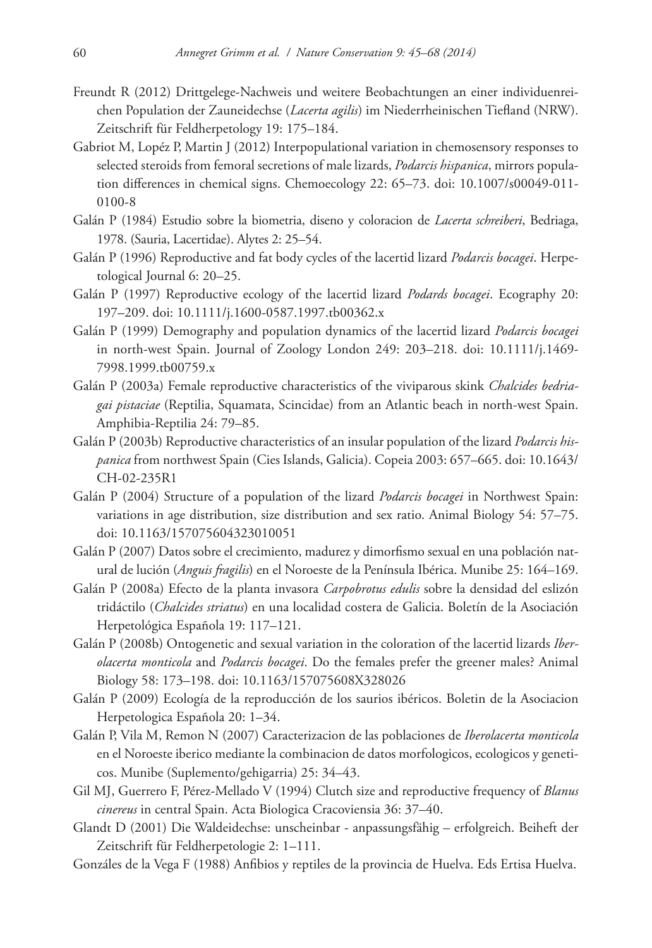- Freundt R (2012) Drittgelege-Nachweis und weitere Beobachtungen an einer individuenreichen Population der Zauneidechse (*Lacerta agilis*) im Niederrheinischen Tiefland (NRW). Zeitschrift für Feldherpetology 19: 175–184.
- Gabriot M, Lopéz P, Martin J (2012) Interpopulational variation in chemosensory responses to selected steroids from femoral secretions of male lizards, *Podarcis hispanica*, mirrors population differences in chemical signs. Chemoecology 22: 65–73. [doi: 10.1007/s00049-011-](http://dx.doi.org/10.1007/s00049-011-0100-8) [0100-8](http://dx.doi.org/10.1007/s00049-011-0100-8)
- Galán P (1984) Estudio sobre la biometria, diseno y coloracion de *Lacerta schreiberi*, Bedriaga, 1978. (Sauria, Lacertidae). Alytes 2: 25–54.
- Galán P (1996) Reproductive and fat body cycles of the lacertid lizard *Podarcis bocagei*. Herpetological Journal 6: 20–25.
- Galán P (1997) Reproductive ecology of the lacertid lizard *Podards bocagei*. Ecography 20: 197–209. [doi: 10.1111/j.1600-0587.1997.tb00362.x](http://dx.doi.org/10.1111/j.1600-0587.1997.tb00362.x)
- Galán P (1999) Demography and population dynamics of the lacertid lizard *Podarcis bocagei*  in north-west Spain. Journal of Zoology London 249: 203–218. [doi: 10.1111/j.1469-](http://dx.doi.org/10.1111/j.1469-7998.1999.tb00759.x) [7998.1999.tb00759.x](http://dx.doi.org/10.1111/j.1469-7998.1999.tb00759.x)
- Galán P (2003a) Female reproductive characteristics of the viviparous skink *Chalcides bedriagai pistaciae* (Reptilia, Squamata, Scincidae) from an Atlantic beach in north-west Spain. Amphibia-Reptilia 24: 79–85.
- Galán P (2003b) Reproductive characteristics of an insular population of the lizard *Podarcis hispanica* from northwest Spain (Cies Islands, Galicia). Copeia 2003: 657–665. [doi: 10.1643/](http://dx.doi.org/10.1643/CH-02-235R1) [CH-02-235R1](http://dx.doi.org/10.1643/CH-02-235R1)
- Galán P (2004) Structure of a population of the lizard *Podarcis bocagei* in Northwest Spain: variations in age distribution, size distribution and sex ratio. Animal Biology 54: 57–75. [doi: 10.1163/157075604323010051](http://dx.doi.org/10.1163/157075604323010051)
- Galán P (2007) Datos sobre el crecimiento, madurez y dimorfismo sexual en una población natural de lución (*Anguis fragilis*) en el Noroeste de la Península Ibérica. Munibe 25: 164–169.
- Galán P (2008a) Efecto de la planta invasora *Carpobrotus edulis* sobre la densidad del eslizón tridáctilo (*Chalcides striatus*) en una localidad costera de Galicia. Boletín de la Asociación Herpetológica Española 19: 117–121.
- Galán P (2008b) Ontogenetic and sexual variation in the coloration of the lacertid lizards *Iberolacerta monticola* and *Podarcis bocagei*. Do the females prefer the greener males? Animal Biology 58: 173–198. [doi: 10.1163/157075608X328026](http://dx.doi.org/10.1163/157075608X328026)
- Galán P (2009) Ecología de la reproducción de los saurios ibéricos. Boletin de la Asociacion Herpetologica Española 20: 1–34.
- Galán P, Vila M, Remon N (2007) Caracterizacion de las poblaciones de *Iberolacerta monticola* en el Noroeste iberico mediante la combinacion de datos morfologicos, ecologicos y geneticos. Munibe (Suplemento/gehigarria) 25: 34–43.
- Gil MJ, Guerrero F, Pérez-Mellado V (1994) Clutch size and reproductive frequency of *Blanus cinereus* in central Spain. Acta Biologica Cracoviensia 36: 37–40.
- Glandt D (2001) Die Waldeidechse: unscheinbar anpassungsfähig erfolgreich. Beiheft der Zeitschrift für Feldherpetologie 2: 1–111.
- Gonzáles de la Vega F (1988) Anfibios y reptiles de la provincia de Huelva. Eds Ertisa Huelva.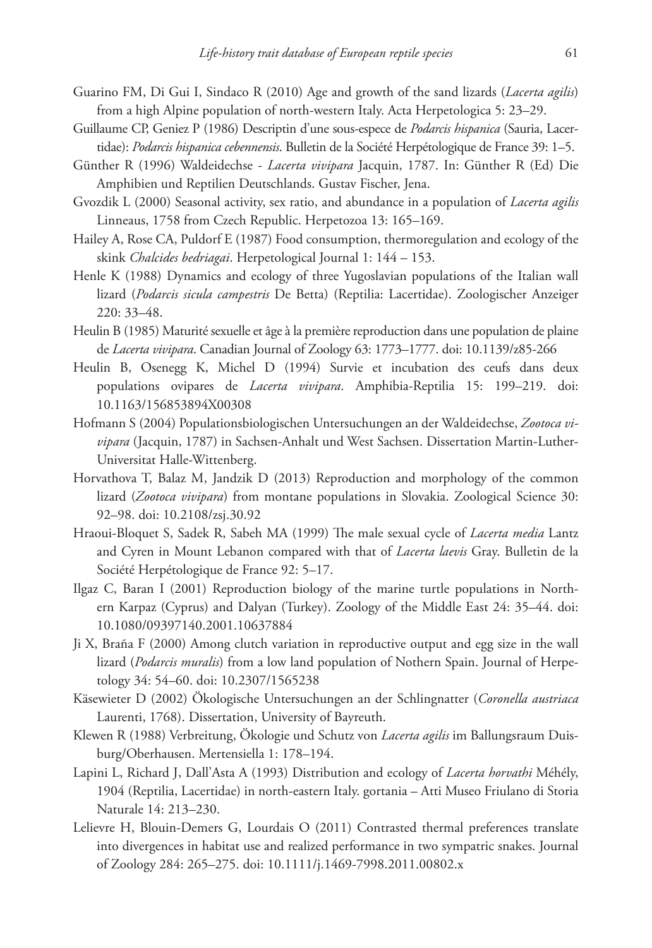- Guarino FM, Di Gui I, Sindaco R (2010) Age and growth of the sand lizards (*Lacerta agilis*) from a high Alpine population of north-western Italy. Acta Herpetologica 5: 23–29.
- Guillaume CP, Geniez P (1986) Descriptin d'une sous-espece de *Podarcis hispanica* (Sauria, Lacertidae): *Podarcis hispanica cebennensis*. Bulletin de la Société Herpétologique de France 39: 1–5.
- Günther R (1996) Waldeidechse *Lacerta vivipara* Jacquin, 1787. In: Günther R (Ed) Die Amphibien und Reptilien Deutschlands. Gustav Fischer, Jena.
- Gvozdik L (2000) Seasonal activity, sex ratio, and abundance in a population of *Lacerta agilis* Linneaus, 1758 from Czech Republic. Herpetozoa 13: 165–169.
- Hailey A, Rose CA, Puldorf E (1987) Food consumption, thermoregulation and ecology of the skink *Chalcides bedriagai*. Herpetological Journal 1: 144 – 153.
- Henle K (1988) Dynamics and ecology of three Yugoslavian populations of the Italian wall lizard (*Podarcis sicula campestris* De Betta) (Reptilia: Lacertidae). Zoologischer Anzeiger 220: 33–48.
- Heulin B (1985) Maturité sexuelle et âge à la première reproduction dans une population de plaine de *Lacerta vivipara*. Canadian Journal of Zoology 63: 1773–1777. [doi: 10.1139/z85-266](http://dx.doi.org/10.1139/z85-266)
- Heulin B, Osenegg K, Michel D (1994) Survie et incubation des ceufs dans deux populations ovipares de *Lacerta vivipara*. Amphibia-Reptilia 15: 199–219. [doi:](http://dx.doi.org/10.1163/15%C2%AD685%C2%AD3894X%C2%AD00308) [10.1163/156853894X00308](http://dx.doi.org/10.1163/15%C2%AD685%C2%AD3894X%C2%AD00308)
- Hofmann S (2004) Populationsbiologischen Untersuchungen an der Waldeidechse, *Zootoca vivipara* (Jacquin, 1787) in Sachsen-Anhalt und West Sachsen. Dissertation Martin-Luther-Universitat Halle-Wittenberg.
- Horvathova T, Balaz M, Jandzik D (2013) Reproduction and morphology of the common lizard (*Zootoca vivipara*) from montane populations in Slovakia. Zoological Science 30: 92–98. [doi: 10.2108/zsj.30.92](http://dx.doi.org/10.2108/zsj.30.92)
- Hraoui-Bloquet S, Sadek R, Sabeh MA (1999) The male sexual cycle of *Lacerta media* Lantz and Cyren in Mount Lebanon compared with that of *Lacerta laevis* Gray. Bulletin de la Société Herpétologique de France 92: 5–17.
- Ilgaz C, Baran I (2001) Reproduction biology of the marine turtle populations in Northern Karpaz (Cyprus) and Dalyan (Turkey). Zoology of the Middle East 24: 35–44. [doi:](http://dx.doi.org/10.1080/09397140.2001.10637884) [10.1080/09397140.2001.10637884](http://dx.doi.org/10.1080/09397140.2001.10637884)
- Ji X, Braña F (2000) Among clutch variation in reproductive output and egg size in the wall lizard (*Podarcis muralis*) from a low land population of Nothern Spain. Journal of Herpetology 34: 54–60. [doi: 10.2307/1565238](http://dx.doi.org/10.2307/1565238)
- Käsewieter D (2002) Ökologische Untersuchungen an der Schlingnatter (*Coronella austriaca*  Laurenti, 1768). Dissertation, University of Bayreuth.
- Klewen R (1988) Verbreitung, Ökologie und Schutz von *Lacerta agilis* im Ballungsraum Duisburg/Oberhausen. Mertensiella 1: 178–194.
- Lapini L, Richard J, Dall'Asta A (1993) Distribution and ecology of *Lacerta horvathi* Méhély, 1904 (Reptilia, Lacertidae) in north-eastern Italy. gortania – Atti Museo Friulano di Storia Naturale 14: 213–230.
- Lelievre H, Blouin-Demers G, Lourdais O (2011) Contrasted thermal preferences translate into divergences in habitat use and realized performance in two sympatric snakes. Journal of Zoology 284: 265–275. [doi: 10.1111/j.1469-7998.2011.00802.x](http://dx.doi.org/10.1111/j.1469-7998.2011.00802.x)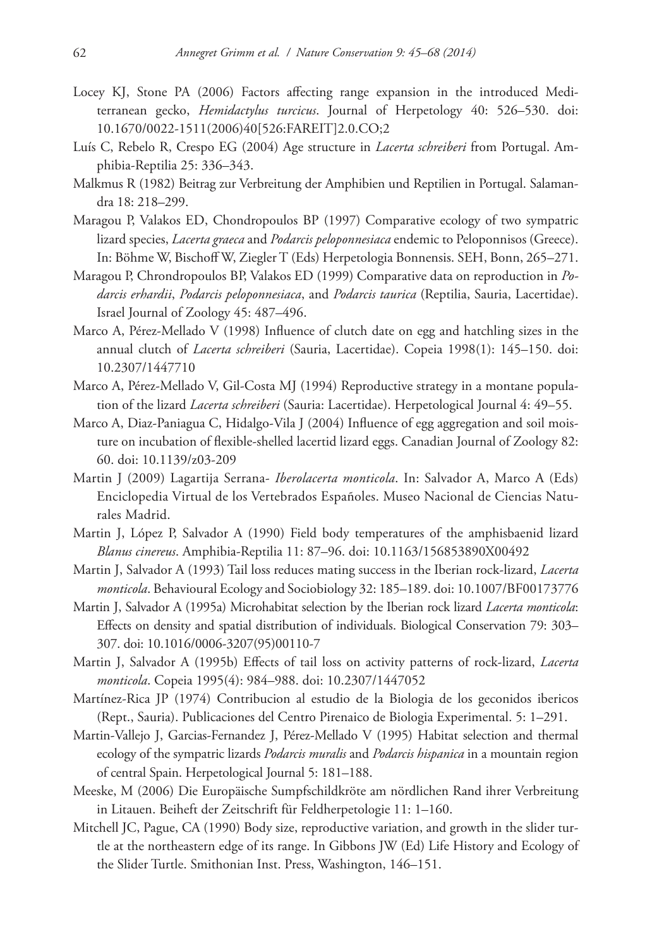- Locey KJ, Stone PA (2006) Factors affecting range expansion in the introduced Mediterranean gecko, *Hemidactylus turcicus*. Journal of Herpetology 40: 526–530. [doi:](http://dx.doi.org/10.1670/0022-1511(2006)40%5B526:FAREIT%5D2.0.CO;2) [10.1670/0022-1511\(2006\)40\[526:FAREIT\]2.0.CO;2](http://dx.doi.org/10.1670/0022-1511(2006)40%5B526:FAREIT%5D2.0.CO;2)
- Luís C, Rebelo R, Crespo EG (2004) Age structure in *Lacerta schreiberi* from Portugal. Amphibia-Reptilia 25: 336–343.
- Malkmus R (1982) Beitrag zur Verbreitung der Amphibien und Reptilien in Portugal. Salamandra 18: 218–299.
- Maragou P, Valakos ED, Chondropoulos BP (1997) Comparative ecology of two sympatric lizard species, *Lacerta graeca* and *Podarcis peloponnesiaca* endemic to Peloponnisos (Greece). In: Böhme W, Bischoff W, Ziegler T (Eds) Herpetologia Bonnensis. SEH, Bonn, 265–271.
- Maragou P, Chrondropoulos BP, Valakos ED (1999) Comparative data on reproduction in *Podarcis erhardii*, *Podarcis peloponnesiaca*, and *Podarcis taurica* (Reptilia, Sauria, Lacertidae). Israel Journal of Zoology 45: 487–496.
- Marco A, Pérez-Mellado V (1998) Influence of clutch date on egg and hatchling sizes in the annual clutch of *Lacerta schreiberi* (Sauria, Lacertidae). Copeia 1998(1): 145–150. [doi:](http://dx.doi.org/10.2307/1447710) [10.2307/1447710](http://dx.doi.org/10.2307/1447710)
- Marco A, Pérez-Mellado V, Gil-Costa MJ (1994) Reproductive strategy in a montane population of the lizard *Lacerta schreiberi* (Sauria: Lacertidae). Herpetological Journal 4: 49–55.
- Marco A, Diaz-Paniagua C, Hidalgo-Vila J (2004) Influence of egg aggregation and soil moisture on incubation of flexible-shelled lacertid lizard eggs. Canadian Journal of Zoology 82: 60. [doi: 10.1139/z03-209](http://dx.doi.org/10.1139/z03-209)
- Martin J (2009) Lagartija Serrana- *Iberolacerta monticola*. In: Salvador A, Marco A (Eds) Enciclopedia Virtual de los Vertebrados Españoles. Museo Nacional de Ciencias Naturales Madrid.
- Martin J, López P, Salvador A (1990) Field body temperatures of the amphisbaenid lizard *Blanus cinereus*. Amphibia-Reptilia 11: 87–96. [doi: 10.1163/156853890X00492](http://dx.doi.org/10.1163/156853890X00492)
- Martin J, Salvador A (1993) Tail loss reduces mating success in the Iberian rock-lizard, *Lacerta monticola*. Behavioural Ecology and Sociobiology 32: 185–189. [doi: 10.1007/BF00173776](http://dx.doi.org/10.1007/BF00173776)
- Martin J, Salvador A (1995a) Microhabitat selection by the Iberian rock lizard *Lacerta monticola*: Effects on density and spatial distribution of individuals. Biological Conservation 79: 303– 307. [doi: 10.1016/0006-3207\(95\)00110-7](http://dx.doi.org/10.1016/0006-3207(95)00110-7)
- Martin J, Salvador A (1995b) Effects of tail loss on activity patterns of rock-lizard, *Lacerta monticola*. Copeia 1995(4): 984–988. [doi: 10.2307/1447052](http://dx.doi.org/10.2307/1447052)
- Martínez-Rica JP (1974) Contribucion al estudio de la Biologia de los geconidos ibericos (Rept., Sauria). Publicaciones del Centro Pirenaico de Biologia Experimental. 5: 1–291.
- Martin-Vallejo J, Garcias-Fernandez J, Pérez-Mellado V (1995) Habitat selection and thermal ecology of the sympatric lizards *Podarcis muralis* and *Podarcis hispanica* in a mountain region of central Spain. Herpetological Journal 5: 181–188.
- Meeske, M (2006) Die Europäische Sumpfschildkröte am nördlichen Rand ihrer Verbreitung in Litauen. Beiheft der Zeitschrift für Feldherpetologie 11: 1–160.
- Mitchell JC, Pague, CA (1990) Body size, reproductive variation, and growth in the slider turtle at the northeastern edge of its range. In Gibbons JW (Ed) Life History and Ecology of the Slider Turtle. Smithonian Inst. Press, Washington, 146–151.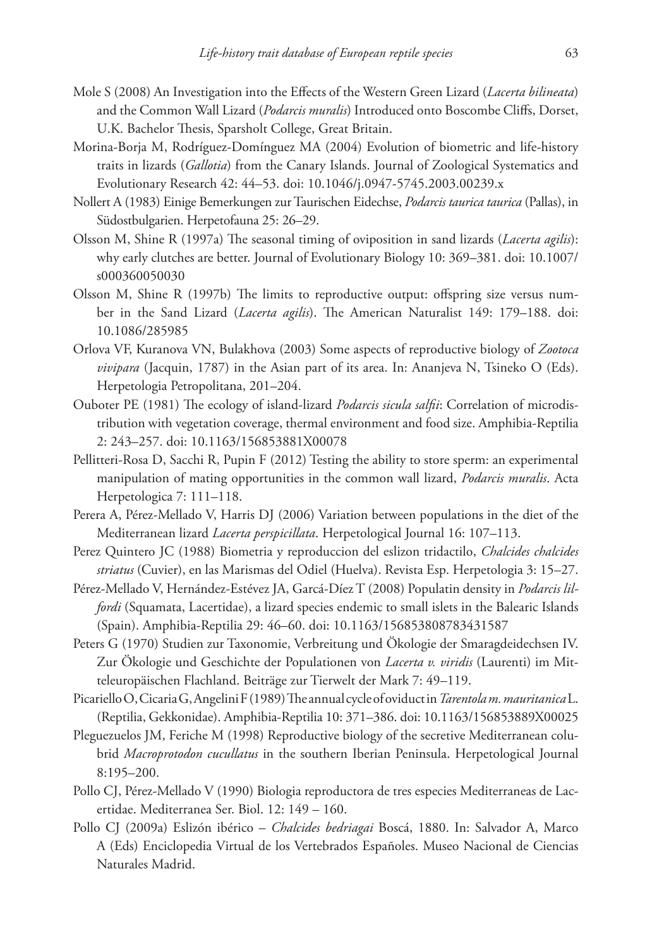- Mole S (2008) An Investigation into the Effects of the Western Green Lizard (*Lacerta bilineata*) and the Common Wall Lizard (*Podarcis muralis*) Introduced onto Boscombe Cliffs, Dorset, U.K. Bachelor Thesis, Sparsholt College, Great Britain.
- Morina-Borja M, Rodríguez-Domínguez MA (2004) Evolution of biometric and life-history traits in lizards (*Gallotia*) from the Canary Islands. Journal of Zoological Systematics and Evolutionary Research 42: 44–53. [doi: 10.1046/j.0947-5745.2003.00239.x](http://dx.doi.org/10.1046/j.0947-5745.2003.00239.x)
- Nollert A (1983) Einige Bemerkungen zur Taurischen Eidechse, *Podarcis taurica taurica* (Pallas), in Südostbulgarien. Herpetofauna 25: 26–29.
- Olsson M, Shine R (1997a) The seasonal timing of oviposition in sand lizards (*Lacerta agilis*): why early clutches are better. Journal of Evolutionary Biology 10: 369–381. [doi: 10.1007/](http://dx.doi.org/10.1007/s000360050030) [s000360050030](http://dx.doi.org/10.1007/s000360050030)
- Olsson M, Shine R (1997b) The limits to reproductive output: offspring size versus number in the Sand Lizard (*Lacerta agilis*). The American Naturalist 149: 179–188. [doi:](http://dx.doi.org/10.1086/285985) [10.1086/285985](http://dx.doi.org/10.1086/285985)
- Orlova VF, Kuranova VN, Bulakhova (2003) Some aspects of reproductive biology of *Zootoca vivipara* (Jacquin, 1787) in the Asian part of its area. In: Ananjeva N, Tsineko O (Eds). Herpetologia Petropolitana, 201–204.
- Ouboter PE (1981) The ecology of island-lizard *Podarcis sicula salfii*: Correlation of microdistribution with vegetation coverage, thermal environment and food size. Amphibia-Reptilia 2: 243–257. [doi: 10.1163/156853881X00078](http://dx.doi.org/10.1163/156853881X00078)
- Pellitteri-Rosa D, Sacchi R, Pupin F (2012) Testing the ability to store sperm: an experimental manipulation of mating opportunities in the common wall lizard, *Podarcis muralis*. Acta Herpetologica 7: 111–118.
- Perera A, Pérez-Mellado V, Harris DJ (2006) Variation between populations in the diet of the Mediterranean lizard *Lacerta perspicillata*. Herpetological Journal 16: 107–113.
- Perez Quintero JC (1988) Biometria y reproduccion del eslizon tridactilo, *Chalcides chalcides striatus* (Cuvier), en las Marismas del Odiel (Huelva). Revista Esp. Herpetologia 3: 15–27.
- Pérez-Mellado V, Hernández-Estévez JA, Garcá-Díez T (2008) Populatin density in *Podarcis lilfordi* (Squamata, Lacertidae), a lizard species endemic to small islets in the Balearic Islands (Spain). Amphibia-Reptilia 29: 46–60. [doi: 10.1163/156853808783431587](http://dx.doi.org/10.1163/156853808783431587)
- Peters G (1970) Studien zur Taxonomie, Verbreitung und Ökologie der Smaragdeidechsen IV. Zur Ökologie und Geschichte der Populationen von *Lacerta v. viridis* (Laurenti) im Mitteleuropäischen Flachland. Beiträge zur Tierwelt der Mark 7: 49–119.
- Picariello O, Cicaria G, Angelini F (1989) The annual cycle of oviduct in *Tarentola m. mauritanica* L. (Reptilia, Gekkonidae). Amphibia-Reptilia 10: 371–386. [doi: 10.1163/156853889X00025](http://dx.doi.org/10.1163/156853889X00025)
- Pleguezuelos JM, Feriche M (1998) Reproductive biology of the secretive Mediterranean colubrid *Macroprotodon cucullatus* in the southern Iberian Peninsula. Herpetological Journal 8:195–200.
- Pollo CJ, Pérez-Mellado V (1990) Biologia reproductora de tres especies Mediterraneas de Lacertidae. Mediterranea Ser. Biol. 12: 149 – 160.
- Pollo CJ (2009a) Eslizón ibérico *Chalcides bedriagai* Boscá, 1880. In: Salvador A, Marco A (Eds) Enciclopedia Virtual de los Vertebrados Españoles. Museo Nacional de Ciencias Naturales Madrid.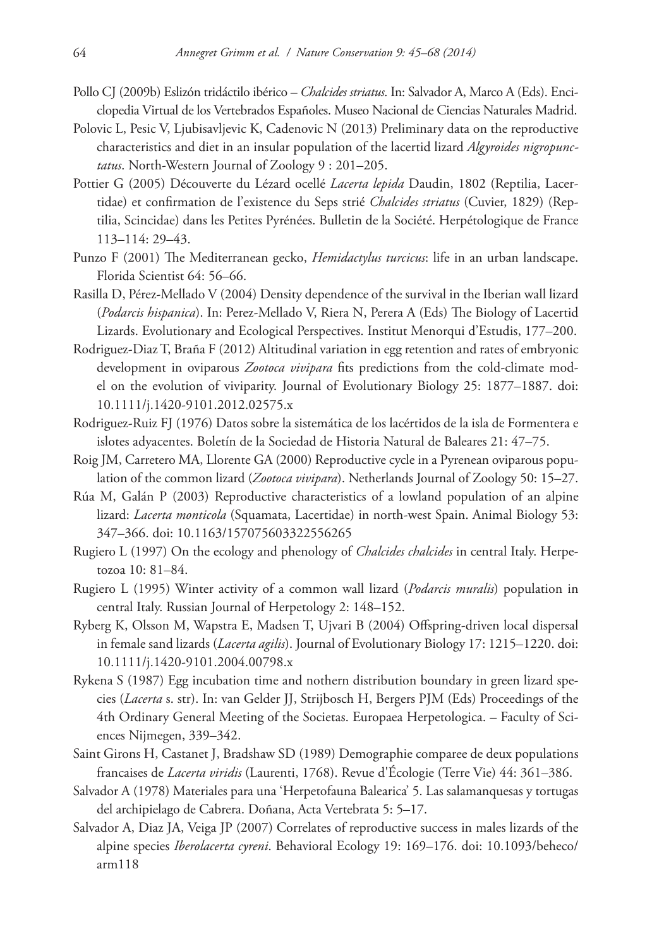- Pollo CJ (2009b) Eslizón tridáctilo ibérico *Chalcides striatus*. In: Salvador A, Marco A (Eds). Enciclopedia Virtual de los Vertebrados Españoles. Museo Nacional de Ciencias Naturales Madrid.
- Polovic L, Pesic V, Ljubisavljevic K, Cadenovic N (2013) Preliminary data on the reproductive characteristics and diet in an insular population of the lacertid lizard *Algyroides nigropunctatus*. North-Western Journal of Zoology 9 : 201–205.
- Pottier G (2005) Découverte du Lézard ocellé *Lacerta lepida* Daudin, 1802 (Reptilia, Lacertidae) et confirmation de l'existence du Seps strié *Chalcides striatus* (Cuvier, 1829) (Reptilia, Scincidae) dans les Petites Pyrénées. Bulletin de la Société. Herpétologique de France 113–114: 29–43.
- Punzo F (2001) The Mediterranean gecko, *Hemidactylus turcicus*: life in an urban landscape. Florida Scientist 64: 56–66.
- Rasilla D, Pérez-Mellado V (2004) Density dependence of the survival in the Iberian wall lizard (*Podarcis hispanica*). In: Perez-Mellado V, Riera N, Perera A (Eds) The Biology of Lacertid Lizards. Evolutionary and Ecological Perspectives. Institut Menorqui d'Estudis, 177–200.
- Rodriguez-Diaz T, Braña F (2012) Altitudinal variation in egg retention and rates of embryonic development in oviparous *Zootoca vivipara* fits predictions from the cold-climate model on the evolution of viviparity. Journal of Evolutionary Biology 25: 1877–1887. [doi:](http://dx.doi.org/10.1111/j.1420-9101.2012.02575.x) [10.1111/j.1420-9101.2012.02575.x](http://dx.doi.org/10.1111/j.1420-9101.2012.02575.x)
- Rodriguez-Ruiz FJ (1976) Datos sobre la sistemática de los lacértidos de la isla de Formentera e islotes adyacentes. Boletín de la Sociedad de Historia Natural de Baleares 21: 47–75.
- Roig JM, Carretero MA, Llorente GA (2000) Reproductive cycle in a Pyrenean oviparous population of the common lizard (*Zootoca vivipara*). Netherlands Journal of Zoology 50: 15–27.
- Rúa M, Galán P (2003) Reproductive characteristics of a lowland population of an alpine lizard: *Lacerta monticola* (Squamata, Lacertidae) in north-west Spain. Animal Biology 53: 347–366. [doi: 10.1163/157075603322556265](http://dx.doi.org/10.1163/157075603322556265)
- Rugiero L (1997) On the ecology and phenology of *Chalcides chalcides* in central Italy. Herpetozoa 10: 81–84.
- Rugiero L (1995) Winter activity of a common wall lizard (*Podarcis muralis*) population in central Italy. Russian Journal of Herpetology 2: 148–152.
- Ryberg K, Olsson M, Wapstra E, Madsen T, Ujvari B (2004) Offspring-driven local dispersal in female sand lizards (*Lacerta agilis*). Journal of Evolutionary Biology 17: 1215–1220. [doi:](http://dx.doi.org/10.1111/j.1420-9101.2004.00798.x) [10.1111/j.1420-9101.2004.00798.x](http://dx.doi.org/10.1111/j.1420-9101.2004.00798.x)
- Rykena S (1987) Egg incubation time and nothern distribution boundary in green lizard species (*Lacerta* s. str). In: van Gelder JJ, Strijbosch H, Bergers PJM (Eds) Proceedings of the 4th Ordinary General Meeting of the Societas. Europaea Herpetologica. – Faculty of Sciences Nijmegen, 339–342.
- Saint Girons H, Castanet J, Bradshaw SD (1989) Demographie comparee de deux populations francaises de *Lacerta viridis* (Laurenti, 1768). Revue d'Écologie (Terre Vie) 44: 361–386.
- Salvador A (1978) Materiales para una 'Herpetofauna Balearica' 5. Las salamanquesas y tortugas del archipielago de Cabrera. Doñana, Acta Vertebrata 5: 5–17.
- Salvador A, Diaz JA, Veiga JP (2007) Correlates of reproductive success in males lizards of the alpine species *Iberolacerta cyreni*. Behavioral Ecology 19: 169–176. [doi: 10.1093/beheco/](http://dx.doi.org/10.1093/beheco/arm118) [arm118](http://dx.doi.org/10.1093/beheco/arm118)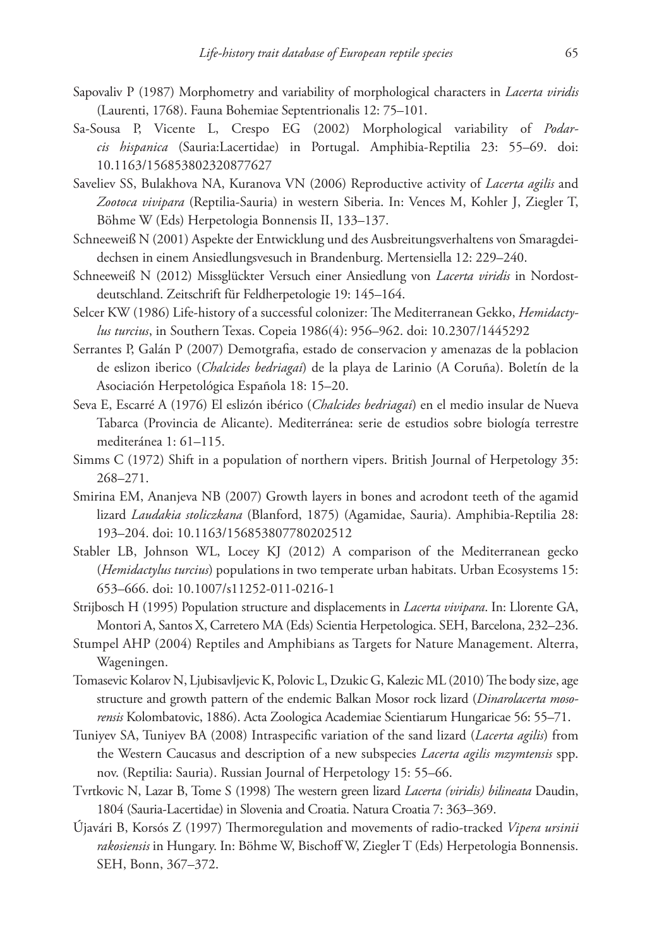- Sapovaliv P (1987) Morphometry and variability of morphological characters in *Lacerta viridis* (Laurenti, 1768). Fauna Bohemiae Septentrionalis 12: 75–101.
- Sa-Sousa P, Vicente L, Crespo EG (2002) Morphological variability of *Podarcis hispanica* (Sauria:Lacertidae) in Portugal. Amphibia-Reptilia 23: 55–69. [doi:](http://dx.doi.org/10.1163/156853802320877627) [10.1163/156853802320877627](http://dx.doi.org/10.1163/156853802320877627)
- Saveliev SS, Bulakhova NA, Kuranova VN (2006) Reproductive activity of *Lacerta agilis* and *Zootoca vivipara* (Reptilia-Sauria) in western Siberia. In: Vences M, Kohler J, Ziegler T, Böhme W (Eds) Herpetologia Bonnensis II, 133–137.
- Schneeweiß N (2001) Aspekte der Entwicklung und des Ausbreitungsverhaltens von Smaragdeidechsen in einem Ansiedlungsvesuch in Brandenburg. Mertensiella 12: 229–240.
- Schneeweiß N (2012) Missglückter Versuch einer Ansiedlung von *Lacerta viridis* in Nordostdeutschland. Zeitschrift für Feldherpetologie 19: 145–164.
- Selcer KW (1986) Life-history of a successful colonizer: The Mediterranean Gekko, *Hemidactylus turcius*, in Southern Texas. Copeia 1986(4): 956–962. [doi: 10.2307/1445292](http://dx.doi.org/10.2307/1445292)
- Serrantes P, Galán P (2007) Demotgrafia, estado de conservacion y amenazas de la poblacion de eslizon iberico (*Chalcides bedriagai*) de la playa de Larinio (A Coruña). Boletín de la Asociación Herpetológica Española 18: 15–20.
- Seva E, Escarré A (1976) El eslizón ibérico (*Chalcides bedriagai*) en el medio insular de Nueva Tabarca (Provincia de Alicante). Mediterránea: serie de estudios sobre biología terrestre mediteránea 1: 61–115.
- Simms C (1972) Shift in a population of northern vipers. British Journal of Herpetology 35: 268–271.
- Smirina EM, Ananjeva NB (2007) Growth layers in bones and acrodont teeth of the agamid lizard *Laudakia stoliczkana* (Blanford, 1875) (Agamidae, Sauria). Amphibia-Reptilia 28: 193–204. [doi: 10.1163/156853807780202512](http://dx.doi.org/10.1163/156853807780202512)
- Stabler LB, Johnson WL, Locey KJ (2012) A comparison of the Mediterranean gecko (*Hemidactylus turcius*) populations in two temperate urban habitats. Urban Ecosystems 15: 653–666. [doi: 10.1007/s11252-011-0216-1](http://dx.doi.org/10.1007/s11252-011-0216-1)
- Strijbosch H (1995) Population structure and displacements in *Lacerta vivipara*. In: Llorente GA, Montori A, Santos X, Carretero MA (Eds) Scientia Herpetologica. SEH, Barcelona, 232–236.
- Stumpel AHP (2004) Reptiles and Amphibians as Targets for Nature Management. Alterra, Wageningen.
- Tomasevic Kolarov N, Ljubisavljevic K, Polovic L, Dzukic G, Kalezic ML (2010) The body size, age structure and growth pattern of the endemic Balkan Mosor rock lizard (*Dinarolacerta mosorensis* Kolombatovic, 1886). Acta Zoologica Academiae Scientiarum Hungaricae 56: 55–71.
- Tuniyev SA, Tuniyev BA (2008) Intraspecific variation of the sand lizard (*Lacerta agilis*) from the Western Caucasus and description of a new subspecies *Lacerta agilis mzymtensis* spp. nov. (Reptilia: Sauria). Russian Journal of Herpetology 15: 55–66.
- Tvrtkovic N, Lazar B, Tome S (1998) The western green lizard *Lacerta (viridis) bilineata* Daudin, 1804 (Sauria-Lacertidae) in Slovenia and Croatia. Natura Croatia 7: 363–369.
- Újavári B, Korsós Z (1997) Thermoregulation and movements of radio-tracked *Vipera ursinii rakosiensis* in Hungary. In: Böhme W, Bischoff W, Ziegler T (Eds) Herpetologia Bonnensis. SEH, Bonn, 367–372.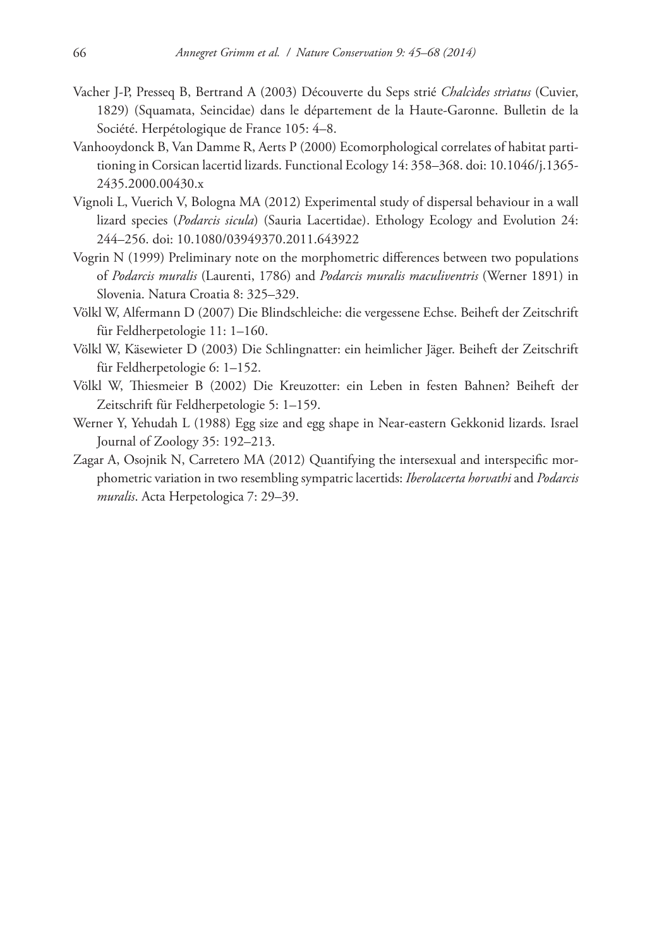- Vacher J-P, Presseq B, Bertrand A (2003) Découverte du Seps strié *Chalcìdes strìatus* (Cuvier, 1829) (Squamata, Seincidae) dans le département de la Haute-Garonne. Bulletin de la Société. Herpétologique de France 105: 4–8.
- Vanhooydonck B, Van Damme R, Aerts P (2000) Ecomorphological correlates of habitat partitioning in Corsican lacertid lizards. Functional Ecology 14: 358–368. [doi: 10.1046/j.1365-](http://dx.doi.org/10.1046/j.1365-2435.2000.00430.x) [2435.2000.00430.x](http://dx.doi.org/10.1046/j.1365-2435.2000.00430.x)
- Vignoli L, Vuerich V, Bologna MA (2012) Experimental study of dispersal behaviour in a wall lizard species (*Podarcis sicula*) (Sauria Lacertidae). Ethology Ecology and Evolution 24: 244–256. [doi: 10.1080/03949370.2011.643922](http://dx.doi.org/10.1080/03949370.2011.643922)
- Vogrin N (1999) Preliminary note on the morphometric differences between two populations of *Podarcis muralis* (Laurenti, 1786) and *Podarcis muralis maculiventris* (Werner 1891) in Slovenia. Natura Croatia 8: 325–329.
- Völkl W, Alfermann D (2007) Die Blindschleiche: die vergessene Echse. Beiheft der Zeitschrift für Feldherpetologie 11: 1–160.
- Völkl W, Käsewieter D (2003) Die Schlingnatter: ein heimlicher Jäger. Beiheft der Zeitschrift für Feldherpetologie 6: 1–152.
- Völkl W, Thiesmeier B (2002) Die Kreuzotter: ein Leben in festen Bahnen? Beiheft der Zeitschrift für Feldherpetologie 5: 1–159.
- Werner Y, Yehudah L (1988) Egg size and egg shape in Near-eastern Gekkonid lizards. Israel Journal of Zoology 35: 192–213.
- Zagar A, Osojnik N, Carretero MA (2012) Quantifying the intersexual and interspecific morphometric variation in two resembling sympatric lacertids: *Iberolacerta horvathi* and *Podarcis muralis*. Acta Herpetologica 7: 29–39.